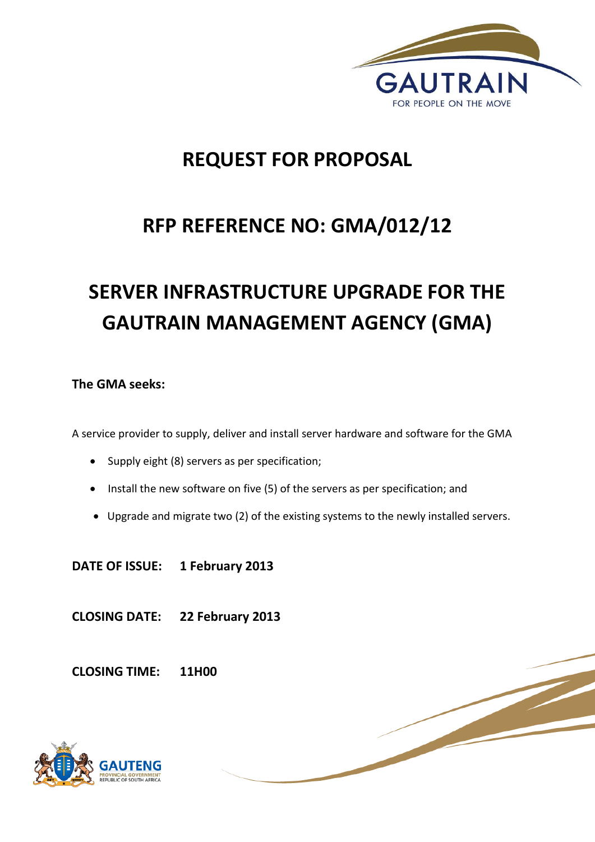

# **REQUEST FOR PROPOSAL**

# **RFP REFERENCE NO: GMA/012/12**

# **SERVER INFRASTRUCTURE UPGRADE FOR THE GAUTRAIN MANAGEMENT AGENCY (GMA)**

# **The GMA seeks:**

A service provider to supply, deliver and install server hardware and software for the GMA

- Supply eight (8) servers as per specification;
- Install the new software on five (5) of the servers as per specification; and
- Upgrade and migrate two (2) of the existing systems to the newly installed servers.

**DATE OF ISSUE: 1 February 2013**

**CLOSING DATE: 22 February 2013**

**CLOSING TIME: 11H00** 

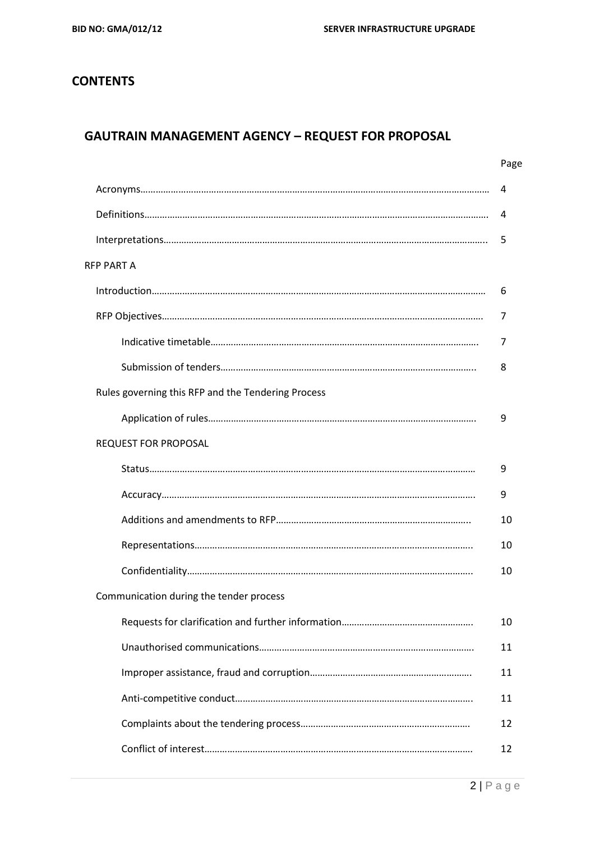# **CONTENTS**

# **GAUTRAIN MANAGEMENT AGENCY – REQUEST FOR PROPOSAL**

|                                                    | Page |
|----------------------------------------------------|------|
|                                                    | 4    |
|                                                    | 4    |
|                                                    | 5    |
| RFP PART A                                         |      |
|                                                    | 6    |
|                                                    | 7    |
|                                                    | 7    |
|                                                    | 8    |
| Rules governing this RFP and the Tendering Process |      |
|                                                    | 9    |
| <b>REQUEST FOR PROPOSAL</b>                        |      |
|                                                    | 9    |
|                                                    | 9    |
|                                                    | 10   |
|                                                    | 10   |
|                                                    | 10   |
| Communication during the tender process            |      |
|                                                    | 10   |
|                                                    | 11   |
|                                                    | 11   |
|                                                    | 11   |
|                                                    | 12   |
|                                                    | 12   |
|                                                    |      |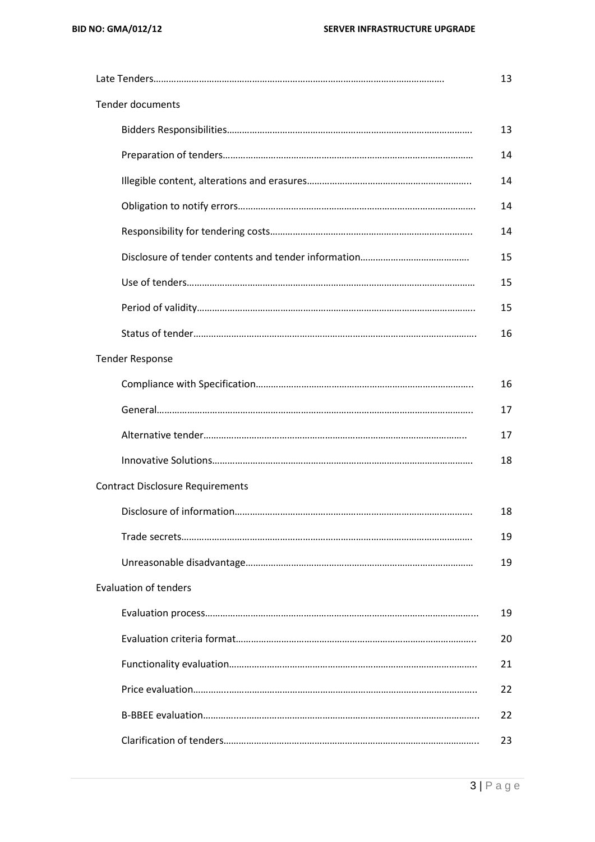|                                         | 13 |
|-----------------------------------------|----|
| <b>Tender documents</b>                 |    |
|                                         | 13 |
|                                         | 14 |
|                                         | 14 |
|                                         | 14 |
|                                         | 14 |
|                                         | 15 |
|                                         | 15 |
|                                         | 15 |
|                                         | 16 |
| <b>Tender Response</b>                  |    |
|                                         | 16 |
|                                         | 17 |
|                                         | 17 |
|                                         | 18 |
| <b>Contract Disclosure Requirements</b> |    |
|                                         | 18 |
|                                         | 19 |
|                                         | 19 |
| <b>Evaluation of tenders</b>            |    |
|                                         | 19 |
|                                         | 20 |
|                                         | 21 |
|                                         | 22 |
|                                         | 22 |
|                                         | 23 |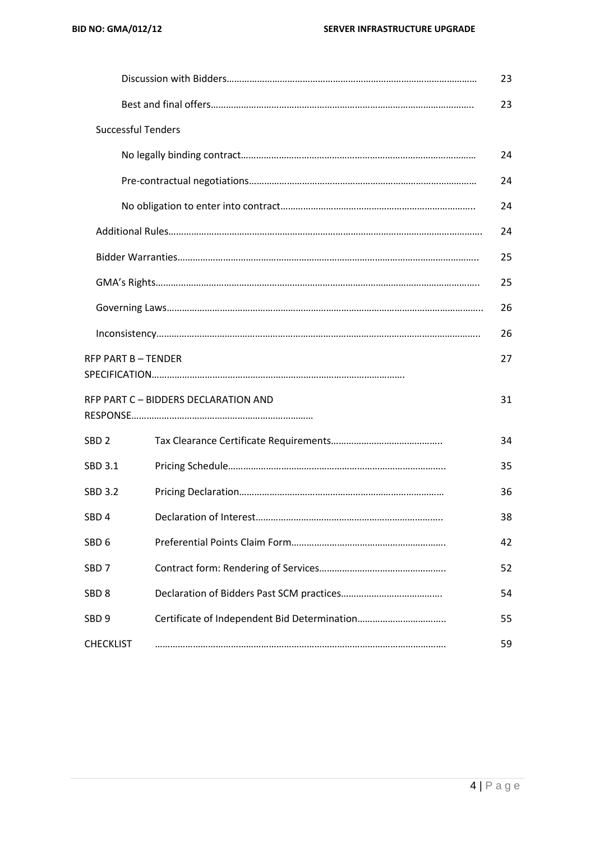|                           |                                      | 23 |
|---------------------------|--------------------------------------|----|
|                           |                                      | 23 |
| <b>Successful Tenders</b> |                                      |    |
|                           |                                      | 24 |
|                           |                                      | 24 |
|                           |                                      | 24 |
|                           |                                      | 24 |
|                           |                                      | 25 |
|                           |                                      | 25 |
|                           |                                      | 26 |
|                           |                                      | 26 |
| <b>RFP PART B-TENDER</b>  |                                      | 27 |
|                           | RFP PART C - BIDDERS DECLARATION AND | 31 |
| SBD <sub>2</sub>          |                                      | 34 |
| SBD 3.1                   |                                      | 35 |
| <b>SBD 3.2</b>            |                                      | 36 |
| SBD <sub>4</sub>          |                                      | 38 |
| SBD <sub>6</sub>          |                                      | 42 |
| SBD <sub>7</sub>          |                                      | 52 |
| SBD <sub>8</sub>          |                                      | 54 |
| SBD <sub>9</sub>          |                                      | 55 |
| <b>CHECKLIST</b>          |                                      | 59 |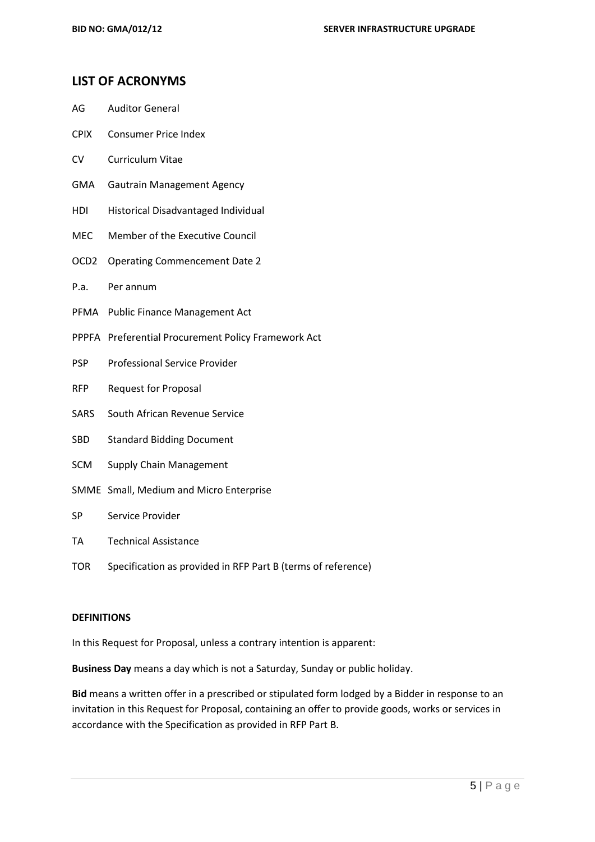#### **LIST OF ACRONYMS**

- AG Auditor General
- CPIX Consumer Price Index
- CV Curriculum Vitae
- GMA Gautrain Management Agency
- HDI Historical Disadvantaged Individual
- MEC Member of the Executive Council
- OCD2 Operating Commencement Date 2
- P.a. Per annum
- PFMA Public Finance Management Act
- PPPFA Preferential Procurement Policy Framework Act
- PSP Professional Service Provider
- RFP Request for Proposal
- SARS South African Revenue Service
- SBD Standard Bidding Document
- SCM Supply Chain Management
- SMME Small, Medium and Micro Enterprise
- SP Service Provider
- TA Technical Assistance
- TOR Specification as provided in RFP Part B (terms of reference)

#### **DEFINITIONS**

In this Request for Proposal, unless a contrary intention is apparent:

**Business Day** means a day which is not a Saturday, Sunday or public holiday.

**Bid** means a written offer in a prescribed or stipulated form lodged by a Bidder in response to an invitation in this Request for Proposal, containing an offer to provide goods, works or services in accordance with the Specification as provided in RFP Part B.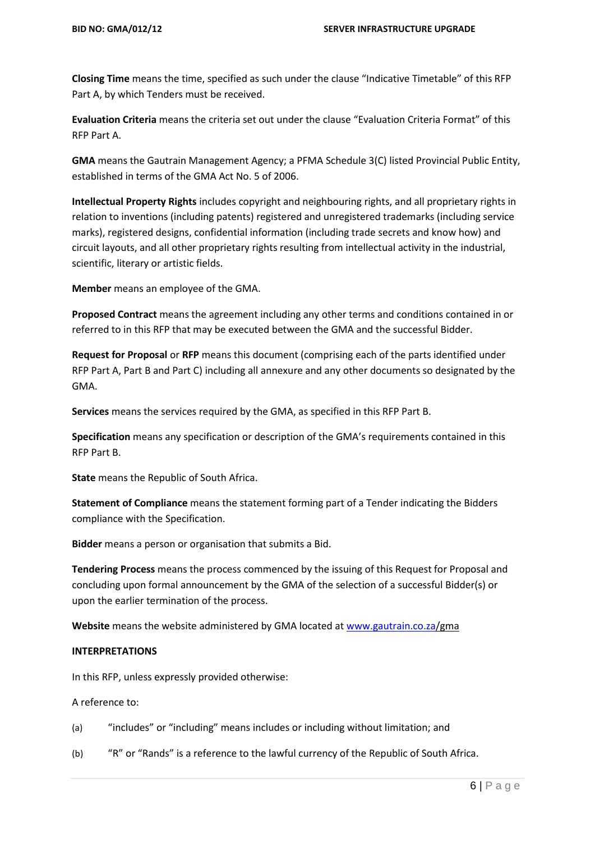**Closing Time** means the time, specified as such under the clause "Indicative Timetable" of this RFP Part A, by which Tenders must be received.

**Evaluation Criteria** means the criteria set out under the clause "Evaluation Criteria Format" of this RFP Part A.

**GMA** means the Gautrain Management Agency; a PFMA Schedule 3(C) listed Provincial Public Entity, established in terms of the GMA Act No. 5 of 2006.

**Intellectual Property Rights** includes copyright and neighbouring rights, and all proprietary rights in relation to inventions (including patents) registered and unregistered trademarks (including service marks), registered designs, confidential information (including trade secrets and know how) and circuit layouts, and all other proprietary rights resulting from intellectual activity in the industrial, scientific, literary or artistic fields.

**Member** means an employee of the GMA.

**Proposed Contract** means the agreement including any other terms and conditions contained in or referred to in this RFP that may be executed between the GMA and the successful Bidder.

**Request for Proposal** or **RFP** means this document (comprising each of the parts identified under RFP Part A, Part B and Part C) including all annexure and any other documents so designated by the GMA.

**Services** means the services required by the GMA, as specified in this RFP Part B.

**Specification** means any specification or description of the GMA's requirements contained in this RFP Part B.

**State** means the Republic of South Africa.

**Statement of Compliance** means the statement forming part of a Tender indicating the Bidders compliance with the Specification.

**Bidder** means a person or organisation that submits a Bid.

**Tendering Process** means the process commenced by the issuing of this Request for Proposal and concluding upon formal announcement by the GMA of the selection of a successful Bidder(s) or upon the earlier termination of the process.

**Website** means the website administered by GMA located a[t www.gautrain.co.za/](http://www.gautrain.co.za/)gma

#### **INTERPRETATIONS**

In this RFP, unless expressly provided otherwise:

A reference to:

- (a) "includes" or "including" means includes or including without limitation; and
- (b) "R" or "Rands" is a reference to the lawful currency of the Republic of South Africa.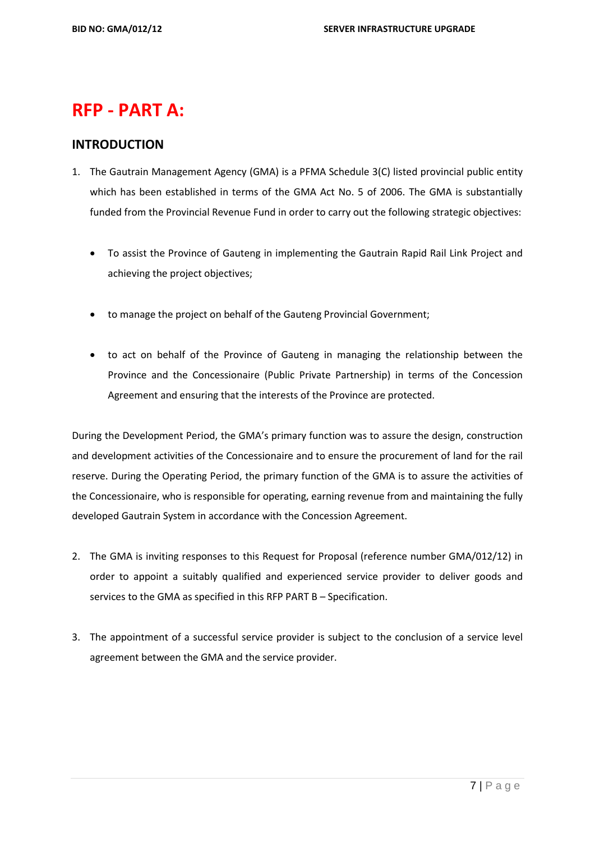# **RFP - PART A:**

# **INTRODUCTION**

- 1. The Gautrain Management Agency (GMA) is a PFMA Schedule 3(C) listed provincial public entity which has been established in terms of the GMA Act No. 5 of 2006. The GMA is substantially funded from the Provincial Revenue Fund in order to carry out the following strategic objectives:
	- To assist the Province of Gauteng in implementing the Gautrain Rapid Rail Link Project and achieving the project objectives;
	- to manage the project on behalf of the Gauteng Provincial Government;
	- to act on behalf of the Province of Gauteng in managing the relationship between the Province and the Concessionaire (Public Private Partnership) in terms of the Concession Agreement and ensuring that the interests of the Province are protected.

During the Development Period, the GMA's primary function was to assure the design, construction and development activities of the Concessionaire and to ensure the procurement of land for the rail reserve. During the Operating Period, the primary function of the GMA is to assure the activities of the Concessionaire, who is responsible for operating, earning revenue from and maintaining the fully developed Gautrain System in accordance with the Concession Agreement.

- 2. The GMA is inviting responses to this Request for Proposal (reference number GMA/012/12) in order to appoint a suitably qualified and experienced service provider to deliver goods and services to the GMA as specified in this RFP PART B – Specification.
- 3. The appointment of a successful service provider is subject to the conclusion of a service level agreement between the GMA and the service provider.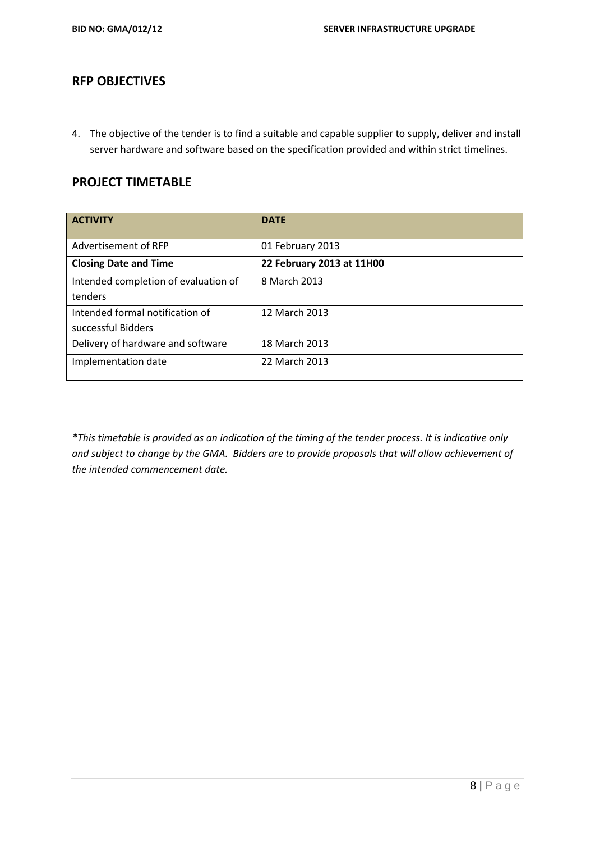### **RFP OBJECTIVES**

4. The objective of the tender is to find a suitable and capable supplier to supply, deliver and install server hardware and software based on the specification provided and within strict timelines.

## **PROJECT TIMETABLE**

| <b>ACTIVITY</b>                      | <b>DATE</b>               |
|--------------------------------------|---------------------------|
| Advertisement of RFP                 | 01 February 2013          |
| <b>Closing Date and Time</b>         | 22 February 2013 at 11H00 |
| Intended completion of evaluation of | 8 March 2013              |
| tenders                              |                           |
| Intended formal notification of      | 12 March 2013             |
| successful Bidders                   |                           |
| Delivery of hardware and software    | 18 March 2013             |
| Implementation date                  | 22 March 2013             |
|                                      |                           |

*\*This timetable is provided as an indication of the timing of the tender process. It is indicative only and subject to change by the GMA. Bidders are to provide proposals that will allow achievement of the intended commencement date.*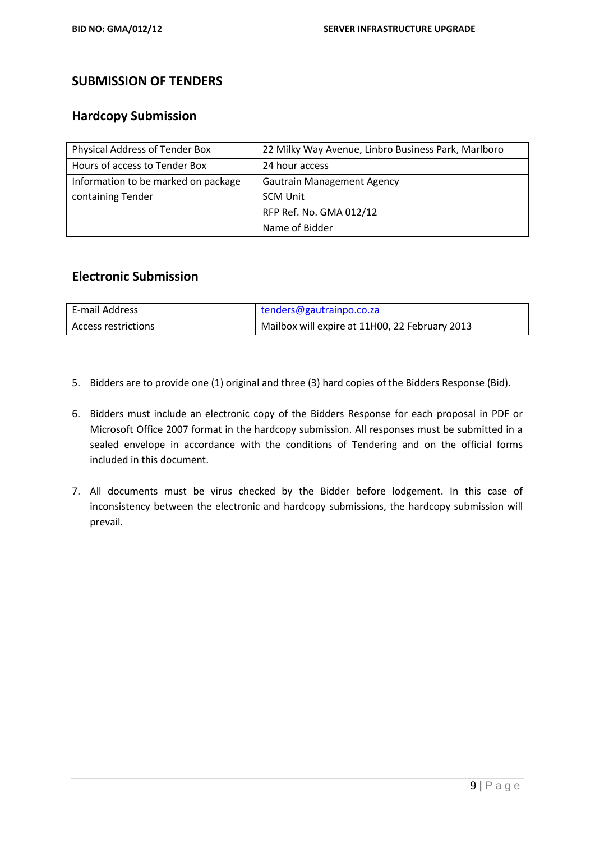## **SUBMISSION OF TENDERS**

### **Hardcopy Submission**

| Physical Address of Tender Box      | 22 Milky Way Avenue, Linbro Business Park, Marlboro |
|-------------------------------------|-----------------------------------------------------|
| Hours of access to Tender Box       | 24 hour access                                      |
| Information to be marked on package | <b>Gautrain Management Agency</b>                   |
| containing Tender                   | <b>SCM Unit</b>                                     |
|                                     | RFP Ref. No. GMA 012/12                             |
|                                     | Name of Bidder                                      |

### **Electronic Submission**

| E-mail Address      | tenders@gautrainpo.co.za                       |
|---------------------|------------------------------------------------|
| Access restrictions | Mailbox will expire at 11H00, 22 February 2013 |

- 5. Bidders are to provide one (1) original and three (3) hard copies of the Bidders Response (Bid).
- 6. Bidders must include an electronic copy of the Bidders Response for each proposal in PDF or Microsoft Office 2007 format in the hardcopy submission. All responses must be submitted in a sealed envelope in accordance with the conditions of Tendering and on the official forms included in this document.
- 7. All documents must be virus checked by the Bidder before lodgement. In this case of inconsistency between the electronic and hardcopy submissions, the hardcopy submission will prevail.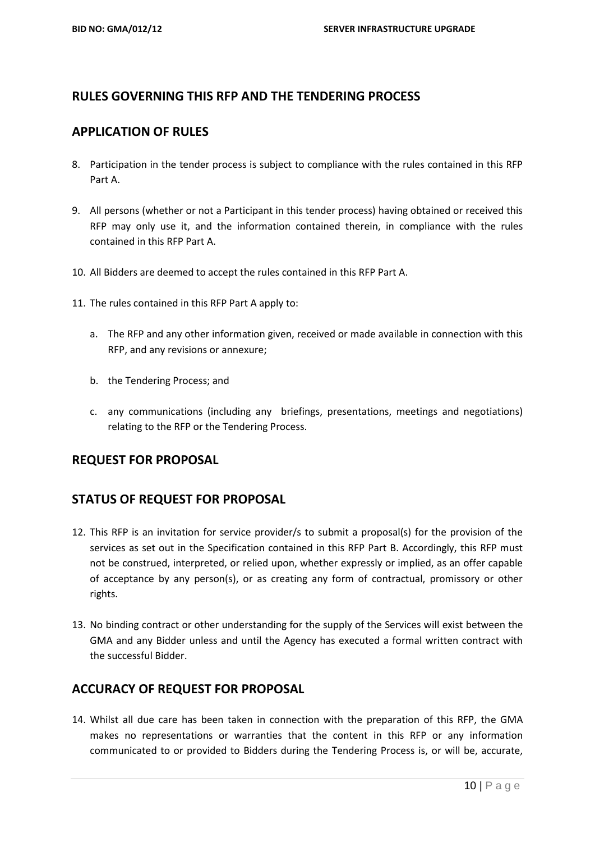## **RULES GOVERNING THIS RFP AND THE TENDERING PROCESS**

#### **APPLICATION OF RULES**

- 8. Participation in the tender process is subject to compliance with the rules contained in this RFP Part A.
- 9. All persons (whether or not a Participant in this tender process) having obtained or received this RFP may only use it, and the information contained therein, in compliance with the rules contained in this RFP Part A.
- 10. All Bidders are deemed to accept the rules contained in this RFP Part A.
- 11. The rules contained in this RFP Part A apply to:
	- a. The RFP and any other information given, received or made available in connection with this RFP, and any revisions or annexure;
	- b. the Tendering Process; and
	- c. any communications (including any briefings, presentations, meetings and negotiations) relating to the RFP or the Tendering Process.

#### **REQUEST FOR PROPOSAL**

#### **STATUS OF REQUEST FOR PROPOSAL**

- 12. This RFP is an invitation for service provider/s to submit a proposal(s) for the provision of the services as set out in the Specification contained in this RFP Part B. Accordingly, this RFP must not be construed, interpreted, or relied upon, whether expressly or implied, as an offer capable of acceptance by any person(s), or as creating any form of contractual, promissory or other rights.
- 13. No binding contract or other understanding for the supply of the Services will exist between the GMA and any Bidder unless and until the Agency has executed a formal written contract with the successful Bidder.

#### **ACCURACY OF REQUEST FOR PROPOSAL**

14. Whilst all due care has been taken in connection with the preparation of this RFP, the GMA makes no representations or warranties that the content in this RFP or any information communicated to or provided to Bidders during the Tendering Process is, or will be, accurate,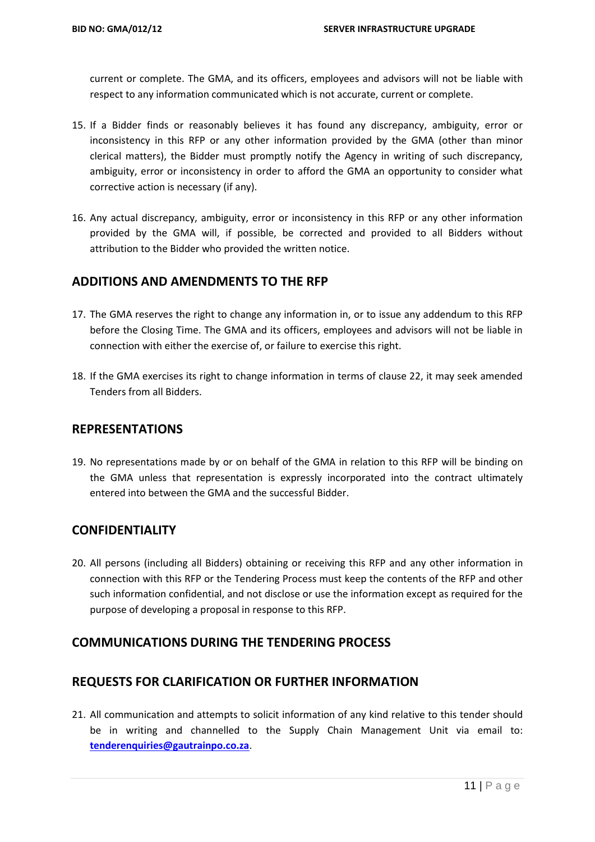current or complete. The GMA, and its officers, employees and advisors will not be liable with respect to any information communicated which is not accurate, current or complete.

- 15. If a Bidder finds or reasonably believes it has found any discrepancy, ambiguity, error or inconsistency in this RFP or any other information provided by the GMA (other than minor clerical matters), the Bidder must promptly notify the Agency in writing of such discrepancy, ambiguity, error or inconsistency in order to afford the GMA an opportunity to consider what corrective action is necessary (if any).
- 16. Any actual discrepancy, ambiguity, error or inconsistency in this RFP or any other information provided by the GMA will, if possible, be corrected and provided to all Bidders without attribution to the Bidder who provided the written notice.

## **ADDITIONS AND AMENDMENTS TO THE RFP**

- 17. The GMA reserves the right to change any information in, or to issue any addendum to this RFP before the Closing Time. The GMA and its officers, employees and advisors will not be liable in connection with either the exercise of, or failure to exercise this right.
- 18. If the GMA exercises its right to change information in terms of clause 22, it may seek amended Tenders from all Bidders.

### **REPRESENTATIONS**

19. No representations made by or on behalf of the GMA in relation to this RFP will be binding on the GMA unless that representation is expressly incorporated into the contract ultimately entered into between the GMA and the successful Bidder.

#### **CONFIDENTIALITY**

20. All persons (including all Bidders) obtaining or receiving this RFP and any other information in connection with this RFP or the Tendering Process must keep the contents of the RFP and other such information confidential, and not disclose or use the information except as required for the purpose of developing a proposal in response to this RFP.

#### **COMMUNICATIONS DURING THE TENDERING PROCESS**

# **REQUESTS FOR CLARIFICATION OR FURTHER INFORMATION**

21. All communication and attempts to solicit information of any kind relative to this tender should be in writing and channelled to the Supply Chain Management Unit via email to: **[tenderenquiries@gautrainpo.co.za](mailto:tenderenquiries@gautrainpo.co.za)**.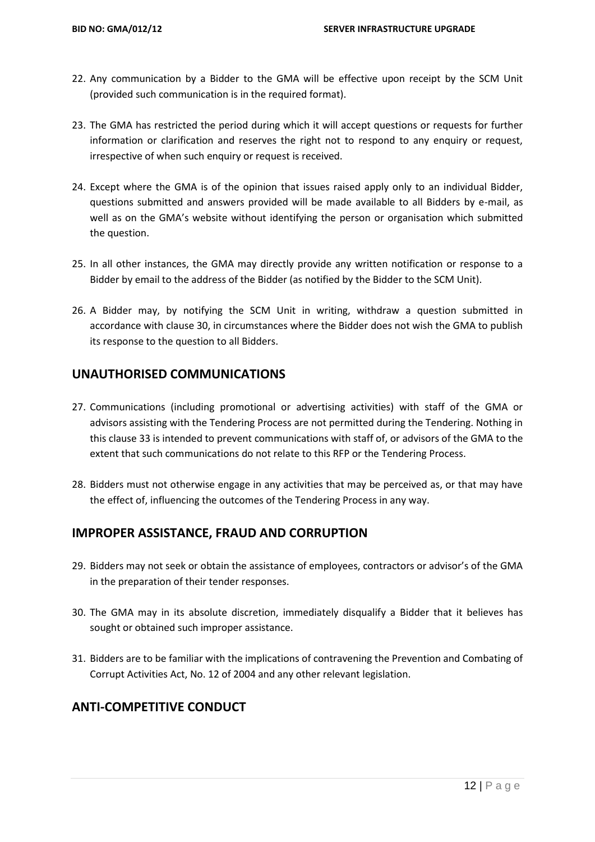- 22. Any communication by a Bidder to the GMA will be effective upon receipt by the SCM Unit (provided such communication is in the required format).
- 23. The GMA has restricted the period during which it will accept questions or requests for further information or clarification and reserves the right not to respond to any enquiry or request, irrespective of when such enquiry or request is received.
- 24. Except where the GMA is of the opinion that issues raised apply only to an individual Bidder, questions submitted and answers provided will be made available to all Bidders by e-mail, as well as on the GMA's website without identifying the person or organisation which submitted the question.
- 25. In all other instances, the GMA may directly provide any written notification or response to a Bidder by email to the address of the Bidder (as notified by the Bidder to the SCM Unit).
- 26. A Bidder may, by notifying the SCM Unit in writing, withdraw a question submitted in accordance with clause 30, in circumstances where the Bidder does not wish the GMA to publish its response to the question to all Bidders.

#### **UNAUTHORISED COMMUNICATIONS**

- 27. Communications (including promotional or advertising activities) with staff of the GMA or advisors assisting with the Tendering Process are not permitted during the Tendering. Nothing in this clause 33 is intended to prevent communications with staff of, or advisors of the GMA to the extent that such communications do not relate to this RFP or the Tendering Process.
- 28. Bidders must not otherwise engage in any activities that may be perceived as, or that may have the effect of, influencing the outcomes of the Tendering Process in any way.

#### **IMPROPER ASSISTANCE, FRAUD AND CORRUPTION**

- 29. Bidders may not seek or obtain the assistance of employees, contractors or advisor's of the GMA in the preparation of their tender responses.
- 30. The GMA may in its absolute discretion, immediately disqualify a Bidder that it believes has sought or obtained such improper assistance.
- 31. Bidders are to be familiar with the implications of contravening the Prevention and Combating of Corrupt Activities Act, No. 12 of 2004 and any other relevant legislation.

## **ANTI-COMPETITIVE CONDUCT**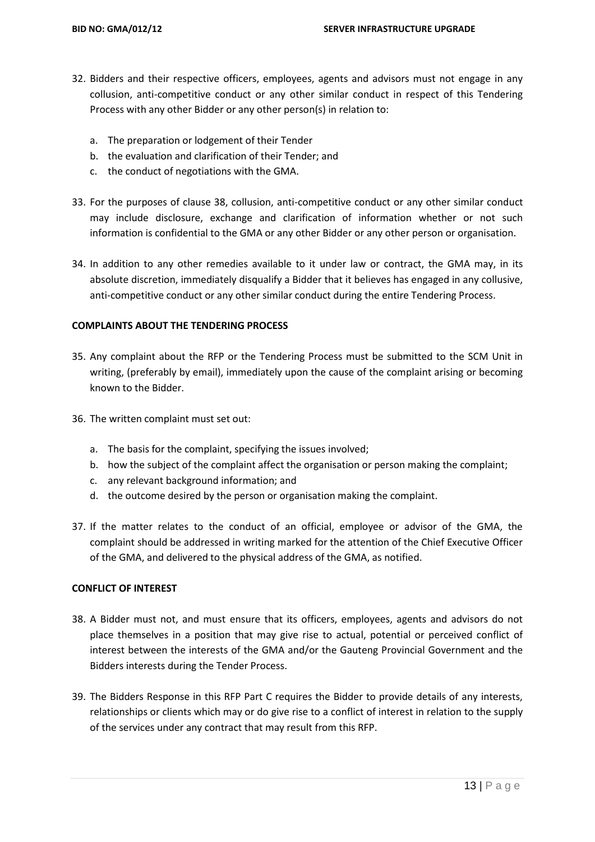- 32. Bidders and their respective officers, employees, agents and advisors must not engage in any collusion, anti-competitive conduct or any other similar conduct in respect of this Tendering Process with any other Bidder or any other person(s) in relation to:
	- a. The preparation or lodgement of their Tender
	- b. the evaluation and clarification of their Tender; and
	- c. the conduct of negotiations with the GMA.
- 33. For the purposes of clause 38, collusion, anti-competitive conduct or any other similar conduct may include disclosure, exchange and clarification of information whether or not such information is confidential to the GMA or any other Bidder or any other person or organisation.
- 34. In addition to any other remedies available to it under law or contract, the GMA may, in its absolute discretion, immediately disqualify a Bidder that it believes has engaged in any collusive, anti-competitive conduct or any other similar conduct during the entire Tendering Process.

#### **COMPLAINTS ABOUT THE TENDERING PROCESS**

- 35. Any complaint about the RFP or the Tendering Process must be submitted to the SCM Unit in writing, (preferably by email), immediately upon the cause of the complaint arising or becoming known to the Bidder.
- 36. The written complaint must set out:
	- a. The basis for the complaint, specifying the issues involved;
	- b. how the subject of the complaint affect the organisation or person making the complaint;
	- c. any relevant background information; and
	- d. the outcome desired by the person or organisation making the complaint.
- 37. If the matter relates to the conduct of an official, employee or advisor of the GMA, the complaint should be addressed in writing marked for the attention of the Chief Executive Officer of the GMA, and delivered to the physical address of the GMA, as notified.

#### **CONFLICT OF INTEREST**

- 38. A Bidder must not, and must ensure that its officers, employees, agents and advisors do not place themselves in a position that may give rise to actual, potential or perceived conflict of interest between the interests of the GMA and/or the Gauteng Provincial Government and the Bidders interests during the Tender Process.
- 39. The Bidders Response in this RFP Part C requires the Bidder to provide details of any interests, relationships or clients which may or do give rise to a conflict of interest in relation to the supply of the services under any contract that may result from this RFP.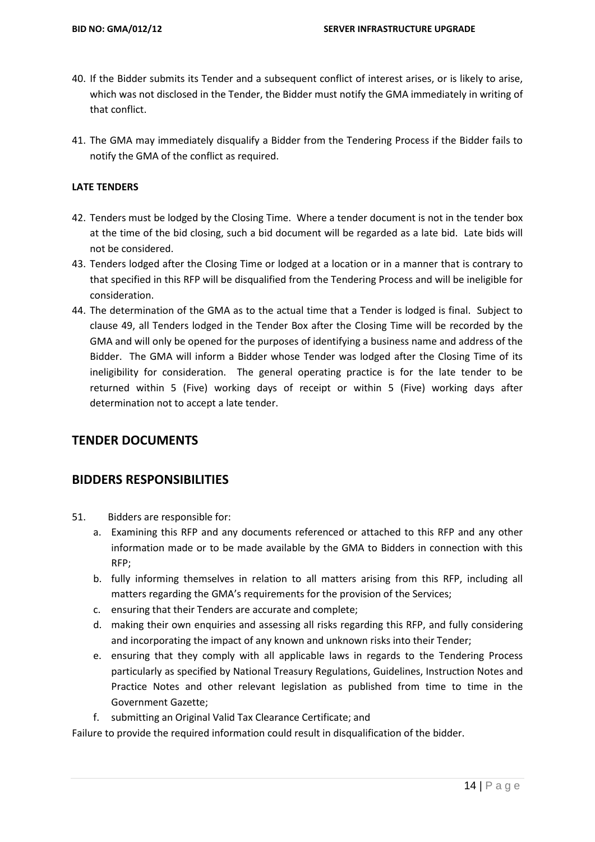- 40. If the Bidder submits its Tender and a subsequent conflict of interest arises, or is likely to arise, which was not disclosed in the Tender, the Bidder must notify the GMA immediately in writing of that conflict.
- 41. The GMA may immediately disqualify a Bidder from the Tendering Process if the Bidder fails to notify the GMA of the conflict as required.

#### **LATE TENDERS**

- 42. Tenders must be lodged by the Closing Time. Where a tender document is not in the tender box at the time of the bid closing, such a bid document will be regarded as a late bid. Late bids will not be considered.
- 43. Tenders lodged after the Closing Time or lodged at a location or in a manner that is contrary to that specified in this RFP will be disqualified from the Tendering Process and will be ineligible for consideration.
- 44. The determination of the GMA as to the actual time that a Tender is lodged is final. Subject to clause 49, all Tenders lodged in the Tender Box after the Closing Time will be recorded by the GMA and will only be opened for the purposes of identifying a business name and address of the Bidder. The GMA will inform a Bidder whose Tender was lodged after the Closing Time of its ineligibility for consideration. The general operating practice is for the late tender to be returned within 5 (Five) working days of receipt or within 5 (Five) working days after determination not to accept a late tender.

#### **TENDER DOCUMENTS**

#### **BIDDERS RESPONSIBILITIES**

- 51. Bidders are responsible for:
	- a. Examining this RFP and any documents referenced or attached to this RFP and any other information made or to be made available by the GMA to Bidders in connection with this RFP;
	- b. fully informing themselves in relation to all matters arising from this RFP, including all matters regarding the GMA's requirements for the provision of the Services;
	- c. ensuring that their Tenders are accurate and complete;
	- d. making their own enquiries and assessing all risks regarding this RFP, and fully considering and incorporating the impact of any known and unknown risks into their Tender;
	- e. ensuring that they comply with all applicable laws in regards to the Tendering Process particularly as specified by National Treasury Regulations, Guidelines, Instruction Notes and Practice Notes and other relevant legislation as published from time to time in the Government Gazette;
	- f. submitting an Original Valid Tax Clearance Certificate; and

Failure to provide the required information could result in disqualification of the bidder.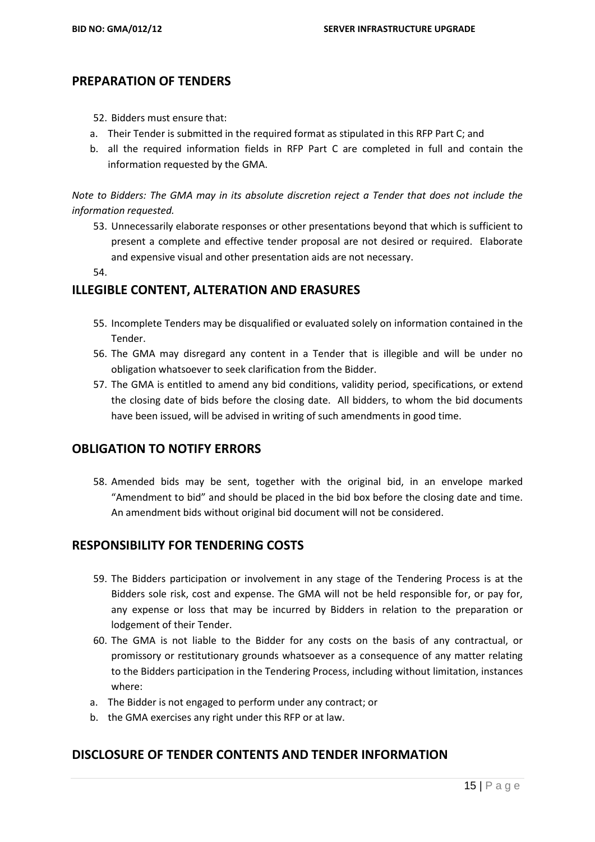#### **PREPARATION OF TENDERS**

- 52. Bidders must ensure that:
- a. Their Tender is submitted in the required format as stipulated in this RFP Part C; and
- b. all the required information fields in RFP Part C are completed in full and contain the information requested by the GMA.

*Note to Bidders: The GMA may in its absolute discretion reject a Tender that does not include the information requested.*

53. Unnecessarily elaborate responses or other presentations beyond that which is sufficient to present a complete and effective tender proposal are not desired or required. Elaborate and expensive visual and other presentation aids are not necessary.

54.

#### **ILLEGIBLE CONTENT, ALTERATION AND ERASURES**

- 55. Incomplete Tenders may be disqualified or evaluated solely on information contained in the Tender.
- 56. The GMA may disregard any content in a Tender that is illegible and will be under no obligation whatsoever to seek clarification from the Bidder.
- 57. The GMA is entitled to amend any bid conditions, validity period, specifications, or extend the closing date of bids before the closing date. All bidders, to whom the bid documents have been issued, will be advised in writing of such amendments in good time.

#### **OBLIGATION TO NOTIFY ERRORS**

58. Amended bids may be sent, together with the original bid, in an envelope marked "Amendment to bid" and should be placed in the bid box before the closing date and time. An amendment bids without original bid document will not be considered.

#### **RESPONSIBILITY FOR TENDERING COSTS**

- 59. The Bidders participation or involvement in any stage of the Tendering Process is at the Bidders sole risk, cost and expense. The GMA will not be held responsible for, or pay for, any expense or loss that may be incurred by Bidders in relation to the preparation or lodgement of their Tender.
- 60. The GMA is not liable to the Bidder for any costs on the basis of any contractual, or promissory or restitutionary grounds whatsoever as a consequence of any matter relating to the Bidders participation in the Tendering Process, including without limitation, instances where:
- a. The Bidder is not engaged to perform under any contract; or
- b. the GMA exercises any right under this RFP or at law.

#### **DISCLOSURE OF TENDER CONTENTS AND TENDER INFORMATION**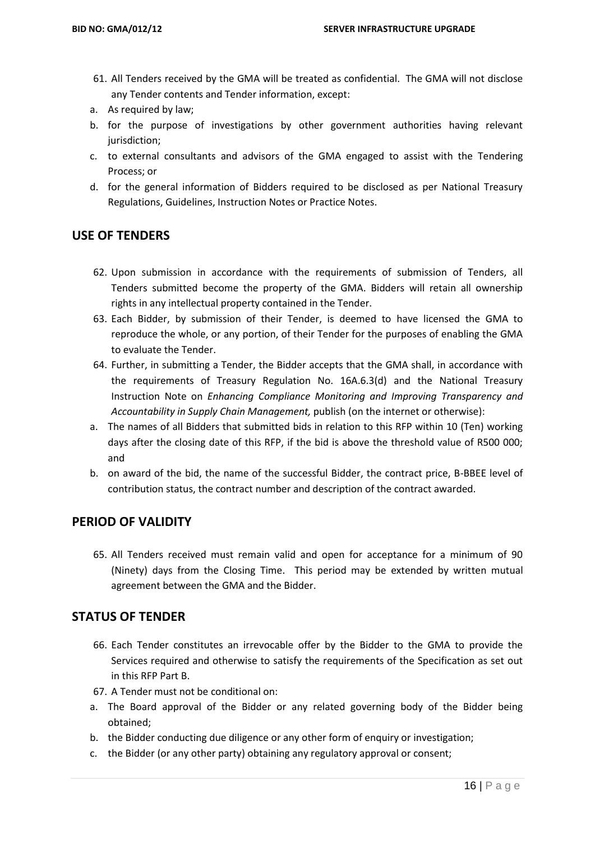- 61. All Tenders received by the GMA will be treated as confidential. The GMA will not disclose any Tender contents and Tender information, except:
- a. As required by law;
- b. for the purpose of investigations by other government authorities having relevant jurisdiction;
- c. to external consultants and advisors of the GMA engaged to assist with the Tendering Process; or
- d. for the general information of Bidders required to be disclosed as per National Treasury Regulations, Guidelines, Instruction Notes or Practice Notes.

## **USE OF TENDERS**

- 62. Upon submission in accordance with the requirements of submission of Tenders, all Tenders submitted become the property of the GMA. Bidders will retain all ownership rights in any intellectual property contained in the Tender.
- 63. Each Bidder, by submission of their Tender, is deemed to have licensed the GMA to reproduce the whole, or any portion, of their Tender for the purposes of enabling the GMA to evaluate the Tender.
- 64. Further, in submitting a Tender, the Bidder accepts that the GMA shall, in accordance with the requirements of Treasury Regulation No. 16A.6.3(d) and the National Treasury Instruction Note on *Enhancing Compliance Monitoring and Improving Transparency and Accountability in Supply Chain Management,* publish (on the internet or otherwise):
- a. The names of all Bidders that submitted bids in relation to this RFP within 10 (Ten) working days after the closing date of this RFP, if the bid is above the threshold value of R500 000; and
- b. on award of the bid, the name of the successful Bidder, the contract price, B-BBEE level of contribution status, the contract number and description of the contract awarded.

#### **PERIOD OF VALIDITY**

65. All Tenders received must remain valid and open for acceptance for a minimum of 90 (Ninety) days from the Closing Time. This period may be extended by written mutual agreement between the GMA and the Bidder.

#### **STATUS OF TENDER**

- 66. Each Tender constitutes an irrevocable offer by the Bidder to the GMA to provide the Services required and otherwise to satisfy the requirements of the Specification as set out in this RFP Part B.
- 67. A Tender must not be conditional on:
- a. The Board approval of the Bidder or any related governing body of the Bidder being obtained;
- b. the Bidder conducting due diligence or any other form of enquiry or investigation;
- c. the Bidder (or any other party) obtaining any regulatory approval or consent;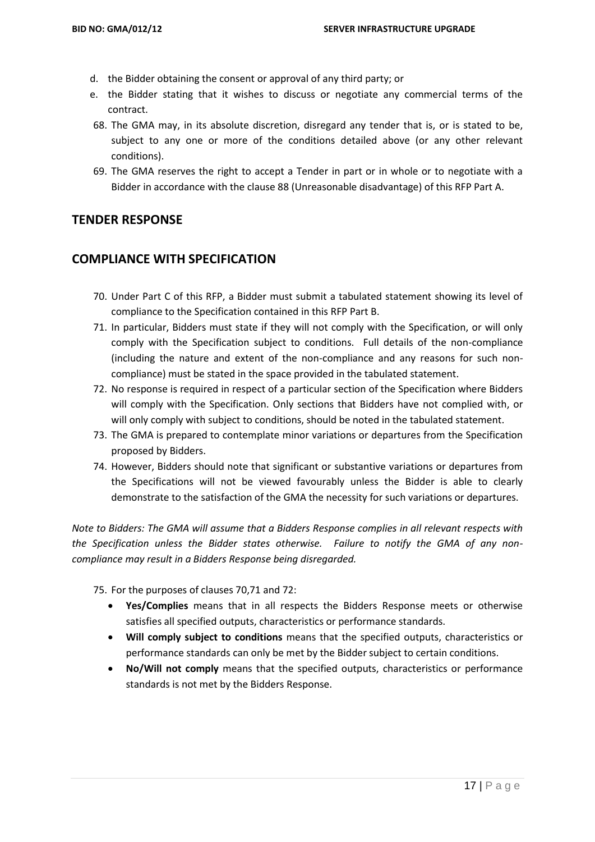- d. the Bidder obtaining the consent or approval of any third party; or
- e. the Bidder stating that it wishes to discuss or negotiate any commercial terms of the contract.
- 68. The GMA may, in its absolute discretion, disregard any tender that is, or is stated to be, subject to any one or more of the conditions detailed above (or any other relevant conditions).
- 69. The GMA reserves the right to accept a Tender in part or in whole or to negotiate with a Bidder in accordance with the clause 88 (Unreasonable disadvantage) of this RFP Part A.

#### **TENDER RESPONSE**

### **COMPLIANCE WITH SPECIFICATION**

- 70. Under Part C of this RFP, a Bidder must submit a tabulated statement showing its level of compliance to the Specification contained in this RFP Part B.
- 71. In particular, Bidders must state if they will not comply with the Specification, or will only comply with the Specification subject to conditions. Full details of the non-compliance (including the nature and extent of the non-compliance and any reasons for such noncompliance) must be stated in the space provided in the tabulated statement.
- 72. No response is required in respect of a particular section of the Specification where Bidders will comply with the Specification. Only sections that Bidders have not complied with, or will only comply with subject to conditions, should be noted in the tabulated statement.
- 73. The GMA is prepared to contemplate minor variations or departures from the Specification proposed by Bidders.
- 74. However, Bidders should note that significant or substantive variations or departures from the Specifications will not be viewed favourably unless the Bidder is able to clearly demonstrate to the satisfaction of the GMA the necessity for such variations or departures.

*Note to Bidders: The GMA will assume that a Bidders Response complies in all relevant respects with the Specification unless the Bidder states otherwise. Failure to notify the GMA of any noncompliance may result in a Bidders Response being disregarded.*

75. For the purposes of clauses 70,71 and 72:

- **Yes/Complies** means that in all respects the Bidders Response meets or otherwise satisfies all specified outputs, characteristics or performance standards.
- **Will comply subject to conditions** means that the specified outputs, characteristics or performance standards can only be met by the Bidder subject to certain conditions.
- **No/Will not comply** means that the specified outputs, characteristics or performance standards is not met by the Bidders Response.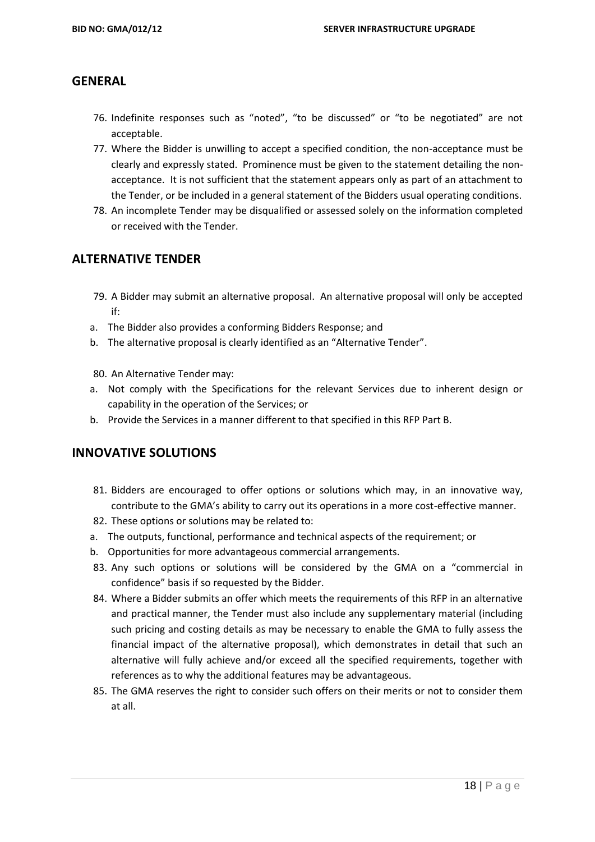### **GENERAL**

- 76. Indefinite responses such as "noted", "to be discussed" or "to be negotiated" are not acceptable.
- 77. Where the Bidder is unwilling to accept a specified condition, the non-acceptance must be clearly and expressly stated. Prominence must be given to the statement detailing the nonacceptance. It is not sufficient that the statement appears only as part of an attachment to the Tender, or be included in a general statement of the Bidders usual operating conditions.
- 78. An incomplete Tender may be disqualified or assessed solely on the information completed or received with the Tender.

### **ALTERNATIVE TENDER**

- 79. A Bidder may submit an alternative proposal. An alternative proposal will only be accepted if:
- a. The Bidder also provides a conforming Bidders Response; and
- b. The alternative proposal is clearly identified as an "Alternative Tender".
- 80. An Alternative Tender may:
- a. Not comply with the Specifications for the relevant Services due to inherent design or capability in the operation of the Services; or
- b. Provide the Services in a manner different to that specified in this RFP Part B.

#### **INNOVATIVE SOLUTIONS**

- 81. Bidders are encouraged to offer options or solutions which may, in an innovative way, contribute to the GMA's ability to carry out its operations in a more cost-effective manner.
- 82. These options or solutions may be related to:
- a. The outputs, functional, performance and technical aspects of the requirement; or
- b. Opportunities for more advantageous commercial arrangements.
- 83. Any such options or solutions will be considered by the GMA on a "commercial in confidence" basis if so requested by the Bidder.
- 84. Where a Bidder submits an offer which meets the requirements of this RFP in an alternative and practical manner, the Tender must also include any supplementary material (including such pricing and costing details as may be necessary to enable the GMA to fully assess the financial impact of the alternative proposal), which demonstrates in detail that such an alternative will fully achieve and/or exceed all the specified requirements, together with references as to why the additional features may be advantageous.
- 85. The GMA reserves the right to consider such offers on their merits or not to consider them at all.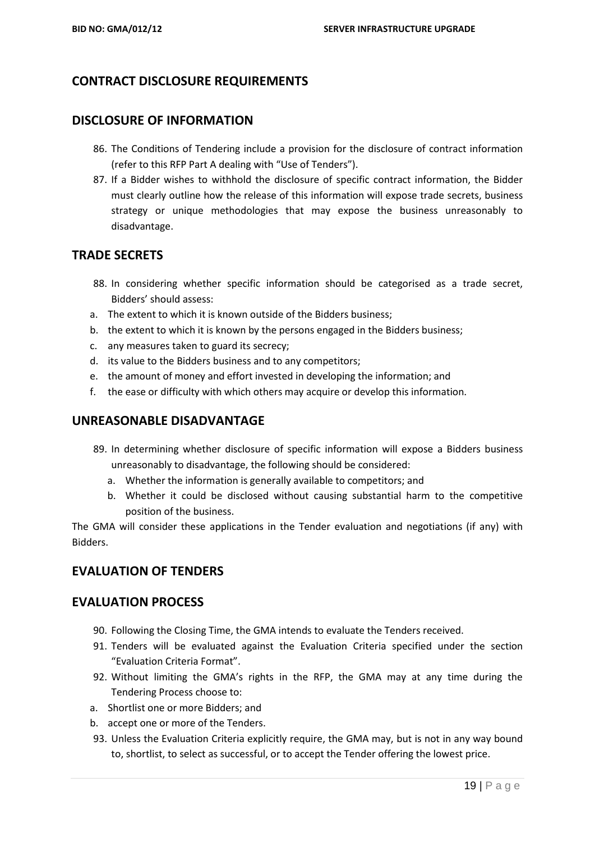## **CONTRACT DISCLOSURE REQUIREMENTS**

#### **DISCLOSURE OF INFORMATION**

- 86. The Conditions of Tendering include a provision for the disclosure of contract information (refer to this RFP Part A dealing with "Use of Tenders").
- 87. If a Bidder wishes to withhold the disclosure of specific contract information, the Bidder must clearly outline how the release of this information will expose trade secrets, business strategy or unique methodologies that may expose the business unreasonably to disadvantage.

#### **TRADE SECRETS**

- 88. In considering whether specific information should be categorised as a trade secret, Bidders' should assess:
- a. The extent to which it is known outside of the Bidders business;
- b. the extent to which it is known by the persons engaged in the Bidders business;
- c. any measures taken to guard its secrecy;
- d. its value to the Bidders business and to any competitors;
- e. the amount of money and effort invested in developing the information; and
- f. the ease or difficulty with which others may acquire or develop this information.

#### **UNREASONABLE DISADVANTAGE**

- 89. In determining whether disclosure of specific information will expose a Bidders business unreasonably to disadvantage, the following should be considered:
	- a. Whether the information is generally available to competitors; and
	- b. Whether it could be disclosed without causing substantial harm to the competitive position of the business.

The GMA will consider these applications in the Tender evaluation and negotiations (if any) with Bidders.

#### **EVALUATION OF TENDERS**

#### **EVALUATION PROCESS**

- 90. Following the Closing Time, the GMA intends to evaluate the Tenders received.
- 91. Tenders will be evaluated against the Evaluation Criteria specified under the section "Evaluation Criteria Format".
- 92. Without limiting the GMA's rights in the RFP, the GMA may at any time during the Tendering Process choose to:
- a. Shortlist one or more Bidders; and
- b. accept one or more of the Tenders.
- 93. Unless the Evaluation Criteria explicitly require, the GMA may, but is not in any way bound to, shortlist, to select as successful, or to accept the Tender offering the lowest price.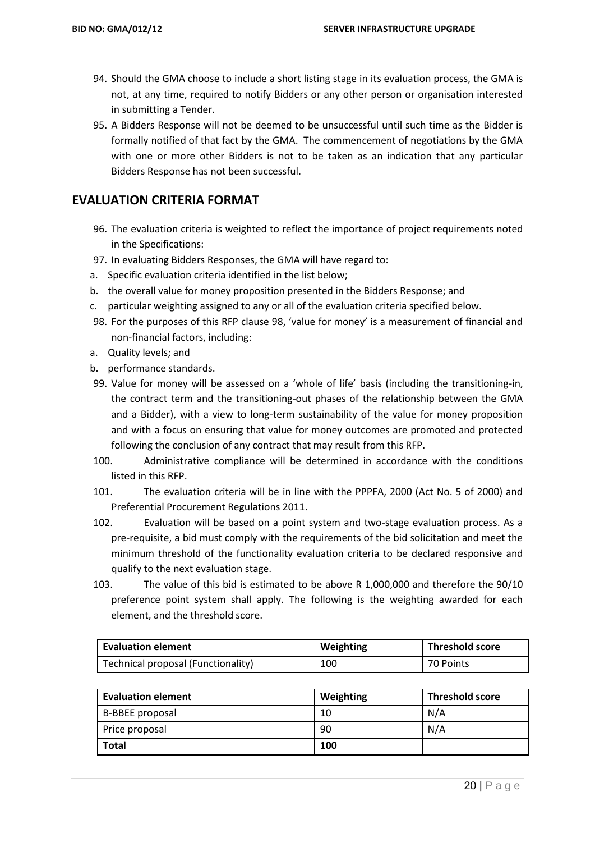- 94. Should the GMA choose to include a short listing stage in its evaluation process, the GMA is not, at any time, required to notify Bidders or any other person or organisation interested in submitting a Tender.
- 95. A Bidders Response will not be deemed to be unsuccessful until such time as the Bidder is formally notified of that fact by the GMA. The commencement of negotiations by the GMA with one or more other Bidders is not to be taken as an indication that any particular Bidders Response has not been successful.

### **EVALUATION CRITERIA FORMAT**

- 96. The evaluation criteria is weighted to reflect the importance of project requirements noted in the Specifications:
- 97. In evaluating Bidders Responses, the GMA will have regard to:
- a. Specific evaluation criteria identified in the list below;
- b. the overall value for money proposition presented in the Bidders Response; and
- c. particular weighting assigned to any or all of the evaluation criteria specified below.
- 98. For the purposes of this RFP clause 98, 'value for money' is a measurement of financial and non-financial factors, including:
- a. Quality levels; and
- b. performance standards.
- 99. Value for money will be assessed on a 'whole of life' basis (including the transitioning-in, the contract term and the transitioning-out phases of the relationship between the GMA and a Bidder), with a view to long-term sustainability of the value for money proposition and with a focus on ensuring that value for money outcomes are promoted and protected following the conclusion of any contract that may result from this RFP.
- 100. Administrative compliance will be determined in accordance with the conditions listed in this RFP.
- 101. The evaluation criteria will be in line with the PPPFA, 2000 (Act No. 5 of 2000) and Preferential Procurement Regulations 2011.
- 102. Evaluation will be based on a point system and two-stage evaluation process. As a pre-requisite, a bid must comply with the requirements of the bid solicitation and meet the minimum threshold of the functionality evaluation criteria to be declared responsive and qualify to the next evaluation stage.
- 103. The value of this bid is estimated to be above R 1,000,000 and therefore the 90/10 preference point system shall apply. The following is the weighting awarded for each element, and the threshold score.

| <b>Evaluation element</b>          | Weighting | <b>Threshold score</b> |
|------------------------------------|-----------|------------------------|
| Technical proposal (Functionality) | 100       | 70 Points              |

| <b>Evaluation element</b> | Weighting | <b>Threshold score</b> |
|---------------------------|-----------|------------------------|
| B-BBEE proposal           | 10        | N/A                    |
| Price proposal            | 90        | N/A                    |
| <b>Total</b>              | 100       |                        |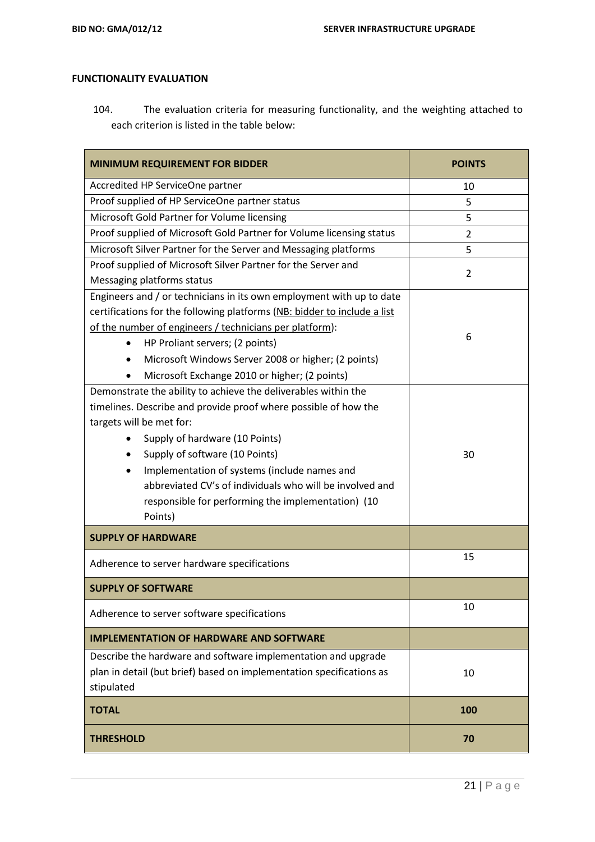#### **FUNCTIONALITY EVALUATION**

104. The evaluation criteria for measuring functionality, and the weighting attached to each criterion is listed in the table below:

| <b>MINIMUM REQUIREMENT FOR BIDDER</b>                                    | <b>POINTS</b>  |
|--------------------------------------------------------------------------|----------------|
| Accredited HP ServiceOne partner                                         | 10             |
| Proof supplied of HP ServiceOne partner status                           | 5              |
| Microsoft Gold Partner for Volume licensing                              | 5              |
| Proof supplied of Microsoft Gold Partner for Volume licensing status     | 2              |
| Microsoft Silver Partner for the Server and Messaging platforms          | 5              |
| Proof supplied of Microsoft Silver Partner for the Server and            | $\overline{2}$ |
| Messaging platforms status                                               |                |
| Engineers and / or technicians in its own employment with up to date     |                |
| certifications for the following platforms (NB: bidder to include a list |                |
| of the number of engineers / technicians per platform):                  | 6              |
| HP Proliant servers; (2 points)<br>$\bullet$                             |                |
| Microsoft Windows Server 2008 or higher; (2 points)<br>$\bullet$         |                |
| Microsoft Exchange 2010 or higher; (2 points)<br>$\bullet$               |                |
| Demonstrate the ability to achieve the deliverables within the           |                |
| timelines. Describe and provide proof where possible of how the          |                |
| targets will be met for:                                                 |                |
| Supply of hardware (10 Points)<br>$\bullet$                              |                |
| Supply of software (10 Points)<br>$\bullet$                              | 30             |
| Implementation of systems (include names and<br>$\bullet$                |                |
| abbreviated CV's of individuals who will be involved and                 |                |
| responsible for performing the implementation) (10                       |                |
| Points)                                                                  |                |
| <b>SUPPLY OF HARDWARE</b>                                                |                |
| Adherence to server hardware specifications                              | 15             |
| <b>SUPPLY OF SOFTWARE</b>                                                |                |
| Adherence to server software specifications                              | 10             |
| <b>IMPLEMENTATION OF HARDWARE AND SOFTWARE</b>                           |                |
| Describe the hardware and software implementation and upgrade            |                |
| plan in detail (but brief) based on implementation specifications as     | 10             |
| stipulated                                                               |                |
| <b>TOTAL</b>                                                             | 100            |
| <b>THRESHOLD</b>                                                         | 70             |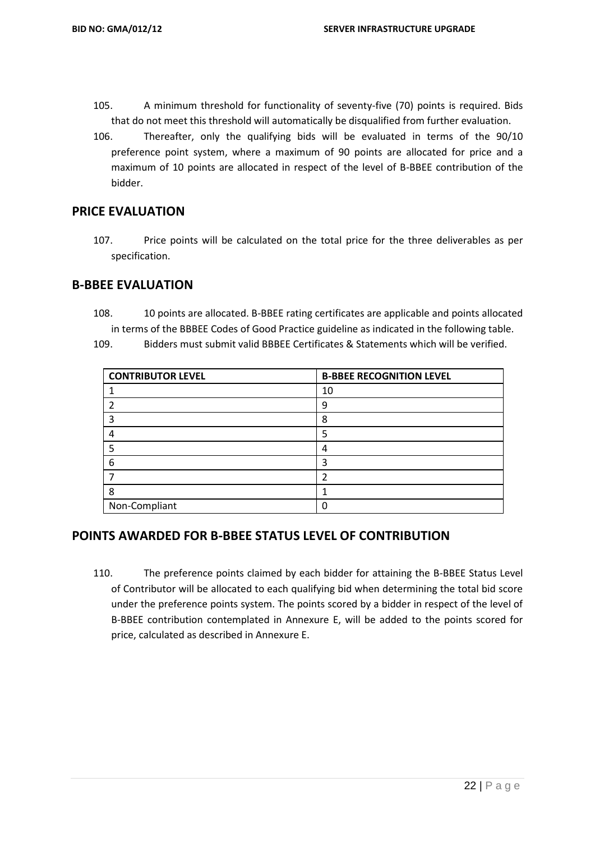- 105. A minimum threshold for functionality of seventy-five (70) points is required. Bids that do not meet this threshold will automatically be disqualified from further evaluation.
- 106. Thereafter, only the qualifying bids will be evaluated in terms of the 90/10 preference point system, where a maximum of 90 points are allocated for price and a maximum of 10 points are allocated in respect of the level of B-BBEE contribution of the bidder.

#### **PRICE EVALUATION**

107. Price points will be calculated on the total price for the three deliverables as per specification.

#### **B-BBEE EVALUATION**

108. 10 points are allocated. B-BBEE rating certificates are applicable and points allocated in terms of the BBBEE Codes of Good Practice guideline as indicated in the following table.

109. Bidders must submit valid BBBEE Certificates & Statements which will be verified.

| <b>CONTRIBUTOR LEVEL</b> | <b>B-BBEE RECOGNITION LEVEL</b> |
|--------------------------|---------------------------------|
|                          | 10                              |
|                          | 9                               |
|                          | 8                               |
|                          | 5                               |
|                          | 4                               |
| 6                        | ς                               |
|                          |                                 |
| 8                        |                                 |
| Non-Compliant            |                                 |

#### **POINTS AWARDED FOR B-BBEE STATUS LEVEL OF CONTRIBUTION**

110. The preference points claimed by each bidder for attaining the B-BBEE Status Level of Contributor will be allocated to each qualifying bid when determining the total bid score under the preference points system. The points scored by a bidder in respect of the level of B-BBEE contribution contemplated in Annexure E, will be added to the points scored for price, calculated as described in Annexure E.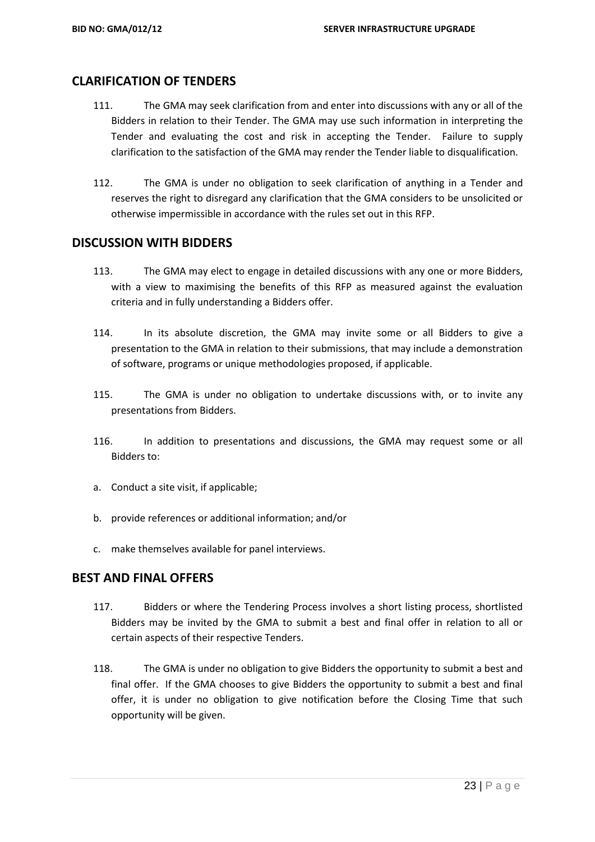## **CLARIFICATION OF TENDERS**

- 111. The GMA may seek clarification from and enter into discussions with any or all of the Bidders in relation to their Tender. The GMA may use such information in interpreting the Tender and evaluating the cost and risk in accepting the Tender. Failure to supply clarification to the satisfaction of the GMA may render the Tender liable to disqualification.
- 112. The GMA is under no obligation to seek clarification of anything in a Tender and reserves the right to disregard any clarification that the GMA considers to be unsolicited or otherwise impermissible in accordance with the rules set out in this RFP.

#### **DISCUSSION WITH BIDDERS**

- 113. The GMA may elect to engage in detailed discussions with any one or more Bidders, with a view to maximising the benefits of this RFP as measured against the evaluation criteria and in fully understanding a Bidders offer.
- 114. In its absolute discretion, the GMA may invite some or all Bidders to give a presentation to the GMA in relation to their submissions, that may include a demonstration of software, programs or unique methodologies proposed, if applicable.
- 115. The GMA is under no obligation to undertake discussions with, or to invite any presentations from Bidders.
- 116. In addition to presentations and discussions, the GMA may request some or all Bidders to:
- a. Conduct a site visit, if applicable;
- b. provide references or additional information; and/or
- c. make themselves available for panel interviews.

#### **BEST AND FINAL OFFERS**

- 117. Bidders or where the Tendering Process involves a short listing process, shortlisted Bidders may be invited by the GMA to submit a best and final offer in relation to all or certain aspects of their respective Tenders.
- 118. The GMA is under no obligation to give Bidders the opportunity to submit a best and final offer. If the GMA chooses to give Bidders the opportunity to submit a best and final offer, it is under no obligation to give notification before the Closing Time that such opportunity will be given.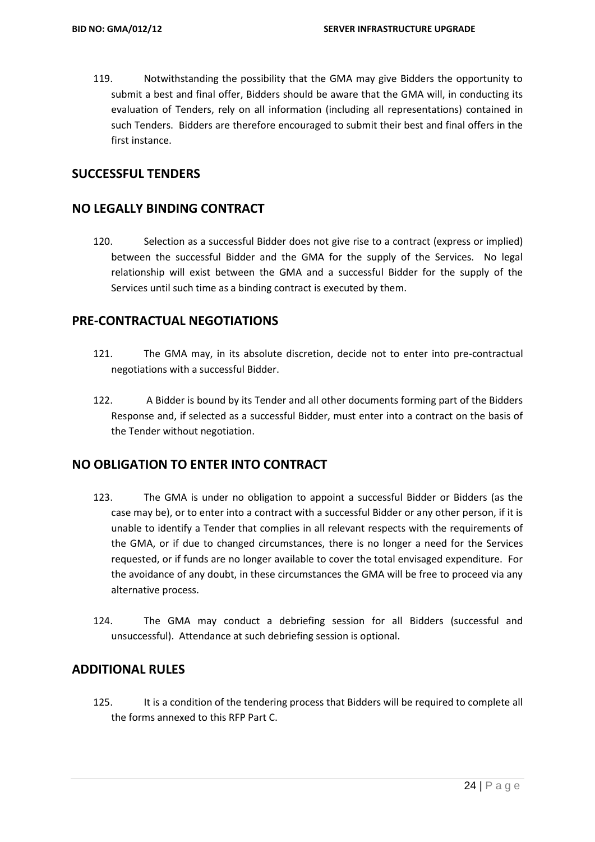119. Notwithstanding the possibility that the GMA may give Bidders the opportunity to submit a best and final offer, Bidders should be aware that the GMA will, in conducting its evaluation of Tenders, rely on all information (including all representations) contained in such Tenders. Bidders are therefore encouraged to submit their best and final offers in the first instance.

#### **SUCCESSFUL TENDERS**

#### **NO LEGALLY BINDING CONTRACT**

120. Selection as a successful Bidder does not give rise to a contract (express or implied) between the successful Bidder and the GMA for the supply of the Services. No legal relationship will exist between the GMA and a successful Bidder for the supply of the Services until such time as a binding contract is executed by them.

#### **PRE-CONTRACTUAL NEGOTIATIONS**

- 121. The GMA may, in its absolute discretion, decide not to enter into pre-contractual negotiations with a successful Bidder.
- 122. A Bidder is bound by its Tender and all other documents forming part of the Bidders Response and, if selected as a successful Bidder, must enter into a contract on the basis of the Tender without negotiation.

#### **NO OBLIGATION TO ENTER INTO CONTRACT**

- 123. The GMA is under no obligation to appoint a successful Bidder or Bidders (as the case may be), or to enter into a contract with a successful Bidder or any other person, if it is unable to identify a Tender that complies in all relevant respects with the requirements of the GMA, or if due to changed circumstances, there is no longer a need for the Services requested, or if funds are no longer available to cover the total envisaged expenditure. For the avoidance of any doubt, in these circumstances the GMA will be free to proceed via any alternative process.
- 124. The GMA may conduct a debriefing session for all Bidders (successful and unsuccessful). Attendance at such debriefing session is optional.

#### **ADDITIONAL RULES**

125. It is a condition of the tendering process that Bidders will be required to complete all the forms annexed to this RFP Part C.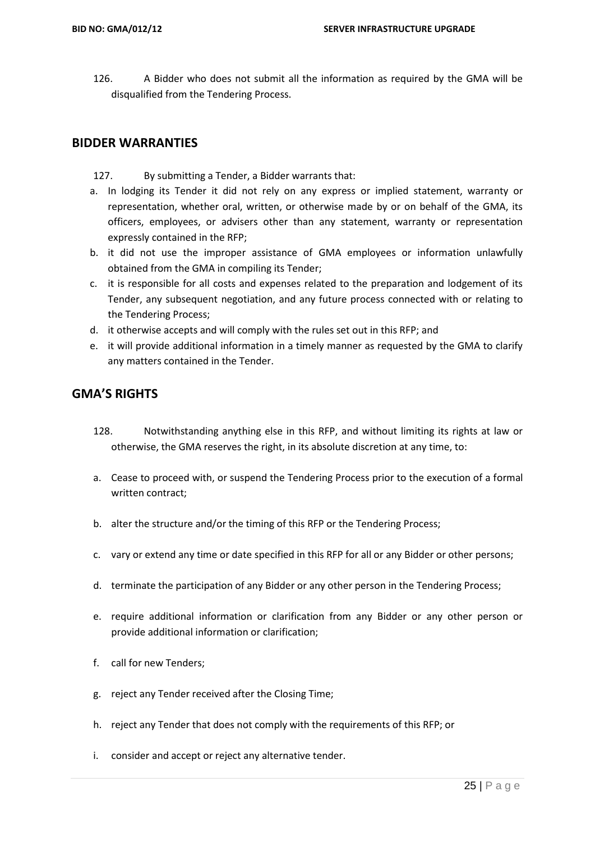126. A Bidder who does not submit all the information as required by the GMA will be disqualified from the Tendering Process.

## **BIDDER WARRANTIES**

- 127. By submitting a Tender, a Bidder warrants that:
- a. In lodging its Tender it did not rely on any express or implied statement, warranty or representation, whether oral, written, or otherwise made by or on behalf of the GMA, its officers, employees, or advisers other than any statement, warranty or representation expressly contained in the RFP;
- b. it did not use the improper assistance of GMA employees or information unlawfully obtained from the GMA in compiling its Tender;
- c. it is responsible for all costs and expenses related to the preparation and lodgement of its Tender, any subsequent negotiation, and any future process connected with or relating to the Tendering Process;
- d. it otherwise accepts and will comply with the rules set out in this RFP; and
- e. it will provide additional information in a timely manner as requested by the GMA to clarify any matters contained in the Tender.

#### **GMA'S RIGHTS**

- 128. Notwithstanding anything else in this RFP, and without limiting its rights at law or otherwise, the GMA reserves the right, in its absolute discretion at any time, to:
- a. Cease to proceed with, or suspend the Tendering Process prior to the execution of a formal written contract;
- b. alter the structure and/or the timing of this RFP or the Tendering Process;
- c. vary or extend any time or date specified in this RFP for all or any Bidder or other persons;
- d. terminate the participation of any Bidder or any other person in the Tendering Process;
- e. require additional information or clarification from any Bidder or any other person or provide additional information or clarification;
- f. call for new Tenders;
- g. reject any Tender received after the Closing Time;
- h. reject any Tender that does not comply with the requirements of this RFP; or
- i. consider and accept or reject any alternative tender.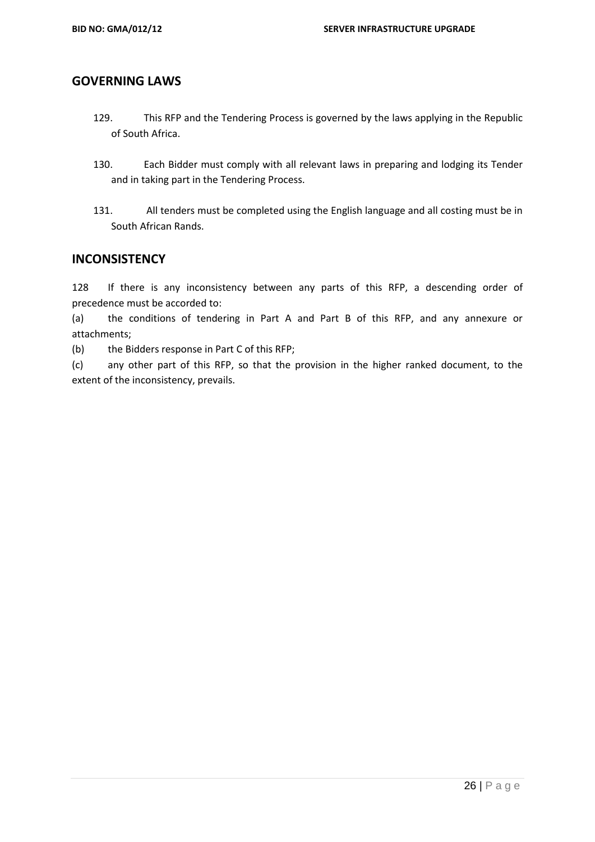#### **GOVERNING LAWS**

- 129. This RFP and the Tendering Process is governed by the laws applying in the Republic of South Africa.
- 130. Each Bidder must comply with all relevant laws in preparing and lodging its Tender and in taking part in the Tendering Process.
- 131. All tenders must be completed using the English language and all costing must be in South African Rands.

#### **INCONSISTENCY**

128 If there is any inconsistency between any parts of this RFP, a descending order of precedence must be accorded to:

(a) the conditions of tendering in Part A and Part B of this RFP, and any annexure or attachments;

(b) the Bidders response in Part C of this RFP;

(c) any other part of this RFP, so that the provision in the higher ranked document, to the extent of the inconsistency, prevails.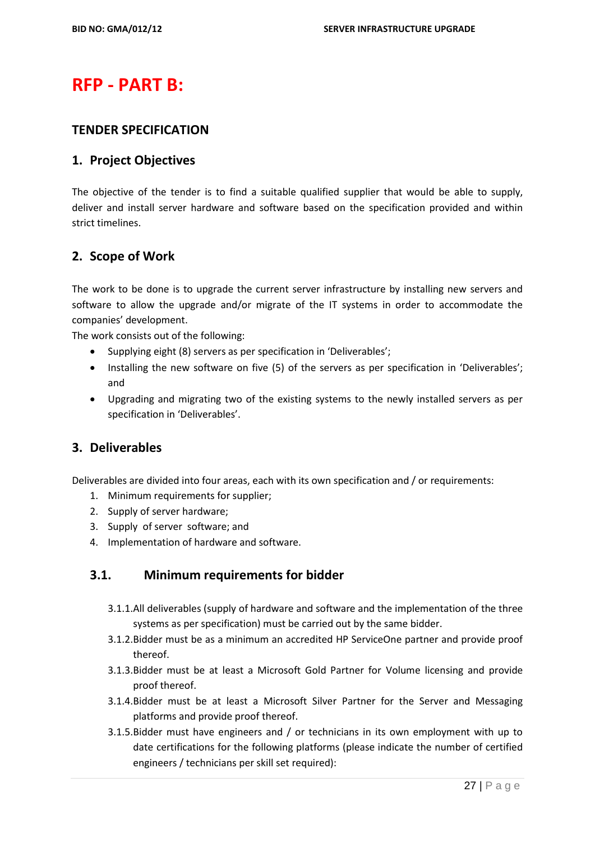# **RFP - PART B:**

#### **TENDER SPECIFICATION**

#### **1. Project Objectives**

The objective of the tender is to find a suitable qualified supplier that would be able to supply, deliver and install server hardware and software based on the specification provided and within strict timelines.

#### **2. Scope of Work**

The work to be done is to upgrade the current server infrastructure by installing new servers and software to allow the upgrade and/or migrate of the IT systems in order to accommodate the companies' development.

The work consists out of the following:

- Supplying eight (8) servers as per specification in 'Deliverables';
- Installing the new software on five (5) of the servers as per specification in 'Deliverables'; and
- Upgrading and migrating two of the existing systems to the newly installed servers as per specification in 'Deliverables'.

#### **3. Deliverables**

Deliverables are divided into four areas, each with its own specification and / or requirements:

- 1. Minimum requirements for supplier;
- 2. Supply of server hardware;
- 3. Supply of server software; and
- 4. Implementation of hardware and software.

#### **3.1. Minimum requirements for bidder**

- 3.1.1.All deliverables (supply of hardware and software and the implementation of the three systems as per specification) must be carried out by the same bidder.
- 3.1.2.Bidder must be as a minimum an accredited HP ServiceOne partner and provide proof thereof.
- 3.1.3.Bidder must be at least a Microsoft Gold Partner for Volume licensing and provide proof thereof.
- 3.1.4.Bidder must be at least a Microsoft Silver Partner for the Server and Messaging platforms and provide proof thereof.
- 3.1.5.Bidder must have engineers and / or technicians in its own employment with up to date certifications for the following platforms (please indicate the number of certified engineers / technicians per skill set required):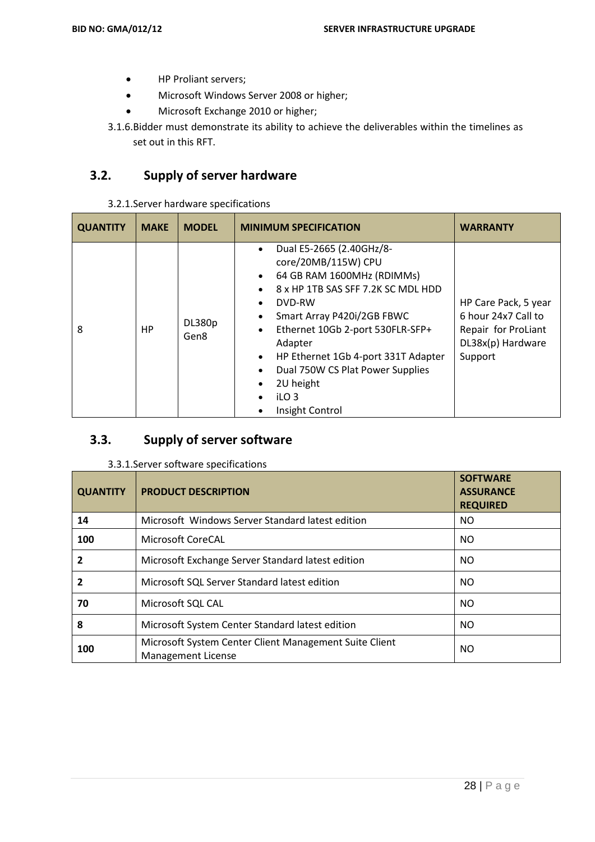- HP Proliant servers;
- Microsoft Windows Server 2008 or higher;
- Microsoft Exchange 2010 or higher;
- 3.1.6.Bidder must demonstrate its ability to achieve the deliverables within the timelines as set out in this RFT.

# **3.2. Supply of server hardware**

3.2.1.Server hardware specifications

| <b>QUANTITY</b> | <b>MAKE</b> | <b>MODEL</b>          | <b>MINIMUM SPECIFICATION</b>                                                                                                                                                                                                                                                                                                                           | <b>WARRANTY</b>                                                                                    |
|-----------------|-------------|-----------------------|--------------------------------------------------------------------------------------------------------------------------------------------------------------------------------------------------------------------------------------------------------------------------------------------------------------------------------------------------------|----------------------------------------------------------------------------------------------------|
| 8               | <b>HP</b>   | <b>DL380p</b><br>Gen8 | Dual E5-2665 (2.40GHz/8-<br>core/20MB/115W) CPU<br>64 GB RAM 1600MHz (RDIMMs)<br>8 x HP 1TB SAS SFF 7.2K SC MDL HDD<br>DVD-RW<br>Smart Array P420i/2GB FBWC<br>Ethernet 10Gb 2-port 530FLR-SFP+<br>Adapter<br>HP Ethernet 1Gb 4-port 331T Adapter<br>$\bullet$<br>Dual 750W CS Plat Power Supplies<br>2U height<br>iLO <sub>3</sub><br>Insight Control | HP Care Pack, 5 year<br>6 hour 24x7 Call to<br>Repair for ProLiant<br>DL38x(p) Hardware<br>Support |

# **3.3. Supply of server software**

| 3.3.1. Server software specifications |  |
|---------------------------------------|--|
|---------------------------------------|--|

| <b>QUANTITY</b> | <b>PRODUCT DESCRIPTION</b>                                                          | <b>SOFTWARE</b><br><b>ASSURANCE</b><br><b>REQUIRED</b> |
|-----------------|-------------------------------------------------------------------------------------|--------------------------------------------------------|
| 14              | Microsoft Windows Server Standard latest edition                                    | NO                                                     |
| 100             | Microsoft CoreCAL                                                                   | <b>NO</b>                                              |
|                 | Microsoft Exchange Server Standard latest edition                                   | NO                                                     |
| 2               | Microsoft SQL Server Standard latest edition                                        | NO                                                     |
| 70              | Microsoft SQL CAL                                                                   | NO.                                                    |
| 8               | Microsoft System Center Standard latest edition                                     | NO                                                     |
| 100             | Microsoft System Center Client Management Suite Client<br><b>Management License</b> | NO                                                     |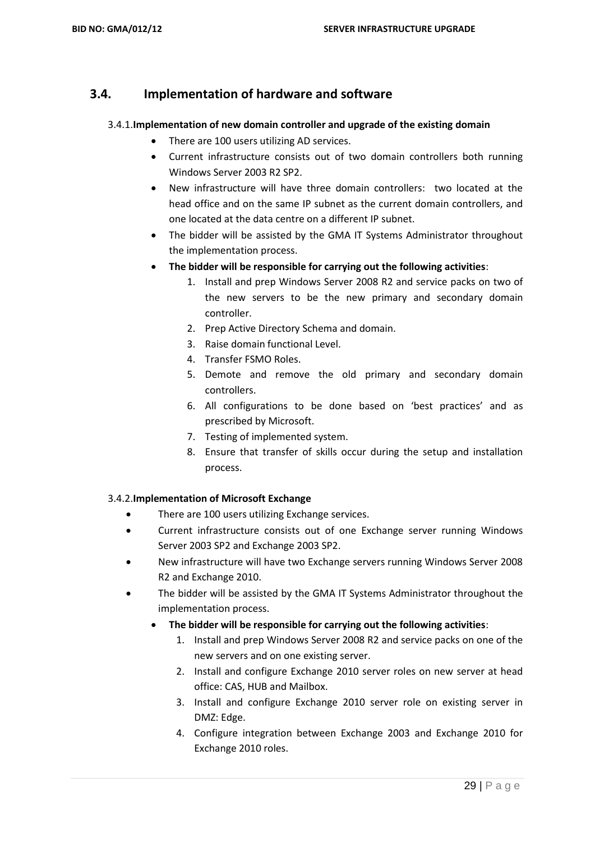## **3.4. Implementation of hardware and software**

#### 3.4.1.**Implementation of new domain controller and upgrade of the existing domain**

- There are 100 users utilizing AD services.
- Current infrastructure consists out of two domain controllers both running Windows Server 2003 R2 SP2.
- New infrastructure will have three domain controllers: two located at the head office and on the same IP subnet as the current domain controllers, and one located at the data centre on a different IP subnet.
- The bidder will be assisted by the GMA IT Systems Administrator throughout the implementation process.
- **The bidder will be responsible for carrying out the following activities**:
	- 1. Install and prep Windows Server 2008 R2 and service packs on two of the new servers to be the new primary and secondary domain controller.
	- 2. Prep Active Directory Schema and domain.
	- 3. Raise domain functional Level.
	- 4. Transfer FSMO Roles.
	- 5. Demote and remove the old primary and secondary domain controllers.
	- 6. All configurations to be done based on 'best practices' and as prescribed by Microsoft.
	- 7. Testing of implemented system.
	- 8. Ensure that transfer of skills occur during the setup and installation process.

#### 3.4.2.**Implementation of Microsoft Exchange**

- There are 100 users utilizing Exchange services.
- Current infrastructure consists out of one Exchange server running Windows Server 2003 SP2 and Exchange 2003 SP2.
- New infrastructure will have two Exchange servers running Windows Server 2008 R2 and Exchange 2010.
- The bidder will be assisted by the GMA IT Systems Administrator throughout the implementation process.
	- **The bidder will be responsible for carrying out the following activities**:
		- 1. Install and prep Windows Server 2008 R2 and service packs on one of the new servers and on one existing server.
		- 2. Install and configure Exchange 2010 server roles on new server at head office: CAS, HUB and Mailbox.
		- 3. Install and configure Exchange 2010 server role on existing server in DMZ: Edge.
		- 4. Configure integration between Exchange 2003 and Exchange 2010 for Exchange 2010 roles.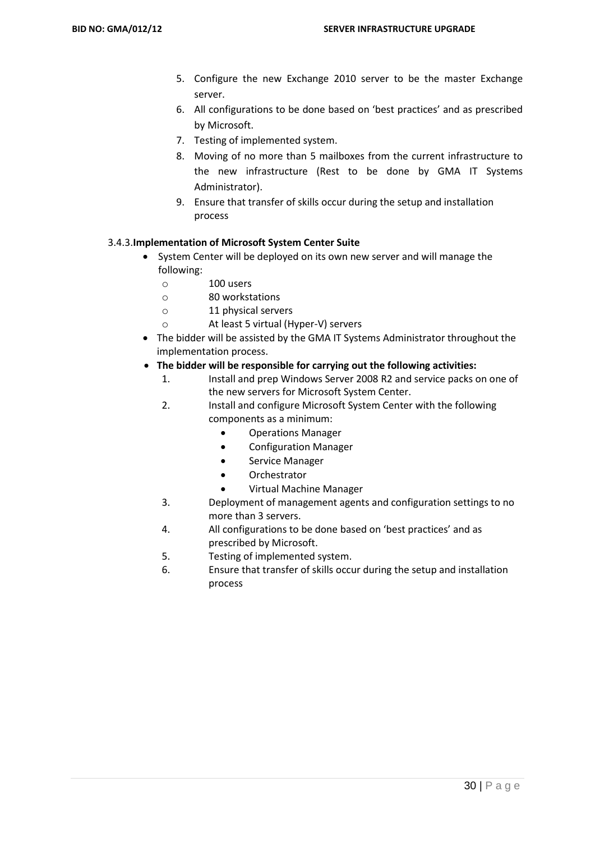- 5. Configure the new Exchange 2010 server to be the master Exchange server.
- 6. All configurations to be done based on 'best practices' and as prescribed by Microsoft.
- 7. Testing of implemented system.
- 8. Moving of no more than 5 mailboxes from the current infrastructure to the new infrastructure (Rest to be done by GMA IT Systems Administrator).
- 9. Ensure that transfer of skills occur during the setup and installation process

#### 3.4.3.**Implementation of Microsoft System Center Suite**

- System Center will be deployed on its own new server and will manage the following:
	- o 100 users
	- o 80 workstations
	- o 11 physical servers
	- o At least 5 virtual (Hyper-V) servers
- The bidder will be assisted by the GMA IT Systems Administrator throughout the implementation process.
- **The bidder will be responsible for carrying out the following activities:**
	- 1. Install and prep Windows Server 2008 R2 and service packs on one of the new servers for Microsoft System Center.
	- 2. Install and configure Microsoft System Center with the following components as a minimum:
		- Operations Manager
		- Configuration Manager
		- **•** Service Manager
		- Orchestrator
		- Virtual Machine Manager
	- 3. Deployment of management agents and configuration settings to no more than 3 servers.
	- 4. All configurations to be done based on 'best practices' and as prescribed by Microsoft.
	- 5. Testing of implemented system.
	- 6. Ensure that transfer of skills occur during the setup and installation process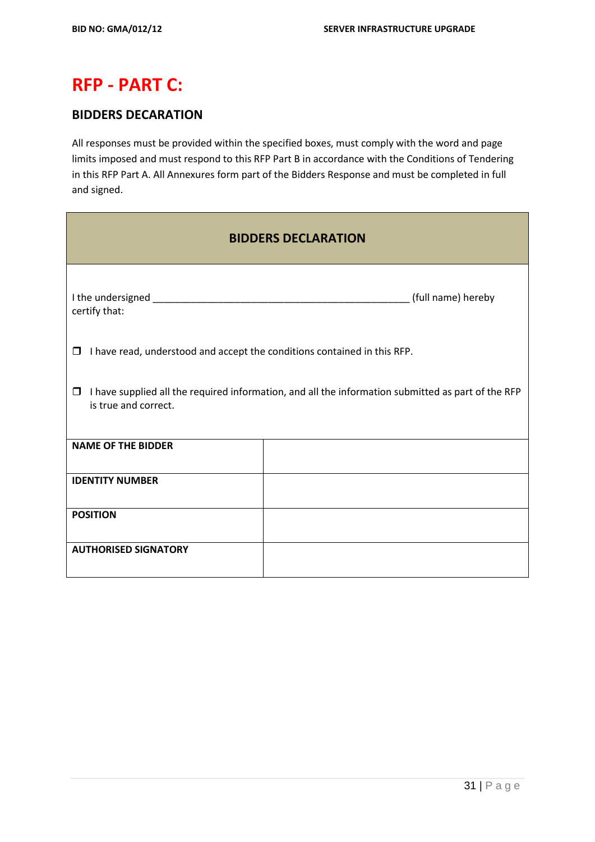# **RFP - PART C:**

## **BIDDERS DECARATION**

All responses must be provided within the specified boxes, must comply with the word and page limits imposed and must respond to this RFP Part B in accordance with the Conditions of Tendering in this RFP Part A. All Annexures form part of the Bidders Response and must be completed in full and signed.

| <b>BIDDERS DECLARATION</b>                                                                                                      |  |  |  |  |  |
|---------------------------------------------------------------------------------------------------------------------------------|--|--|--|--|--|
| certify that:                                                                                                                   |  |  |  |  |  |
| I have read, understood and accept the conditions contained in this RFP.<br>$\Box$                                              |  |  |  |  |  |
| I have supplied all the required information, and all the information submitted as part of the RFP<br>□<br>is true and correct. |  |  |  |  |  |
| <b>NAME OF THE BIDDER</b>                                                                                                       |  |  |  |  |  |
| <b>IDENTITY NUMBER</b>                                                                                                          |  |  |  |  |  |
| <b>POSITION</b>                                                                                                                 |  |  |  |  |  |
| <b>AUTHORISED SIGNATORY</b>                                                                                                     |  |  |  |  |  |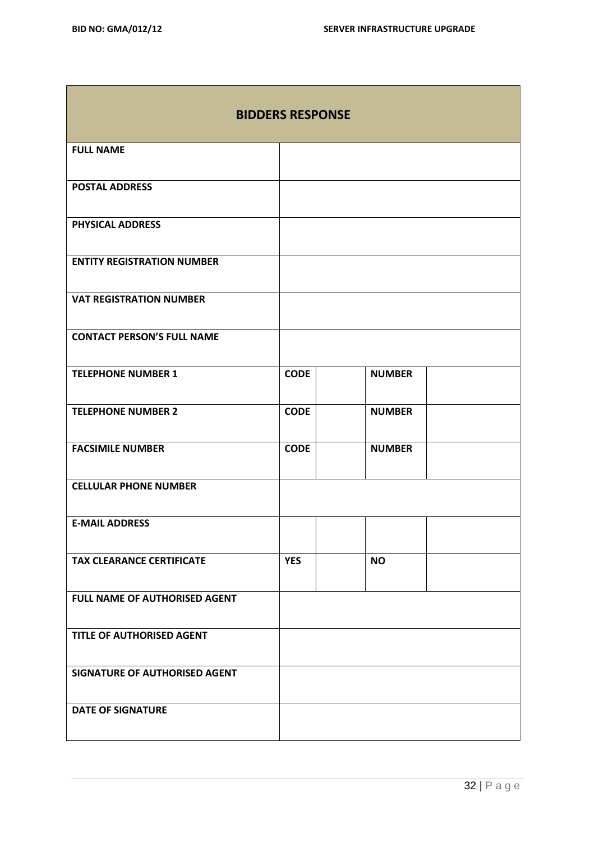m.

**The Common** 

| <b>BIDDERS RESPONSE</b>           |             |               |  |  |  |
|-----------------------------------|-------------|---------------|--|--|--|
| <b>FULL NAME</b>                  |             |               |  |  |  |
| <b>POSTAL ADDRESS</b>             |             |               |  |  |  |
| <b>PHYSICAL ADDRESS</b>           |             |               |  |  |  |
| <b>ENTITY REGISTRATION NUMBER</b> |             |               |  |  |  |
| <b>VAT REGISTRATION NUMBER</b>    |             |               |  |  |  |
| <b>CONTACT PERSON'S FULL NAME</b> |             |               |  |  |  |
| <b>TELEPHONE NUMBER 1</b>         | <b>CODE</b> | <b>NUMBER</b> |  |  |  |
| <b>TELEPHONE NUMBER 2</b>         | <b>CODE</b> | <b>NUMBER</b> |  |  |  |
| <b>FACSIMILE NUMBER</b>           | <b>CODE</b> | <b>NUMBER</b> |  |  |  |
| <b>CELLULAR PHONE NUMBER</b>      |             |               |  |  |  |
| <b>E-MAIL ADDRESS</b>             |             |               |  |  |  |
| <b>TAX CLEARANCE CERTIFICATE</b>  | <b>YES</b>  | <b>NO</b>     |  |  |  |
| FULL NAME OF AUTHORISED AGENT     |             |               |  |  |  |
| TITLE OF AUTHORISED AGENT         |             |               |  |  |  |
| SIGNATURE OF AUTHORISED AGENT     |             |               |  |  |  |
| <b>DATE OF SIGNATURE</b>          |             |               |  |  |  |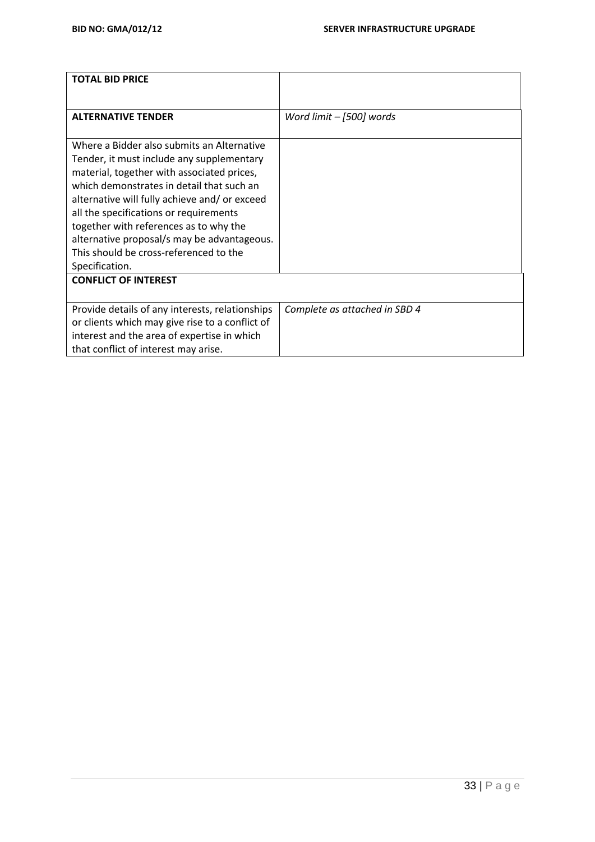| <b>TOTAL BID PRICE</b>                                                           |                               |
|----------------------------------------------------------------------------------|-------------------------------|
| <b>ALTERNATIVE TENDER</b>                                                        | Word limit - [500] words      |
|                                                                                  |                               |
| Where a Bidder also submits an Alternative                                       |                               |
| Tender, it must include any supplementary                                        |                               |
| material, together with associated prices,                                       |                               |
| which demonstrates in detail that such an                                        |                               |
| alternative will fully achieve and/ or exceed                                    |                               |
| all the specifications or requirements<br>together with references as to why the |                               |
| alternative proposal/s may be advantageous.                                      |                               |
| This should be cross-referenced to the                                           |                               |
| Specification.                                                                   |                               |
| <b>CONFLICT OF INTEREST</b>                                                      |                               |
|                                                                                  |                               |
| Provide details of any interests, relationships                                  | Complete as attached in SBD 4 |
| or clients which may give rise to a conflict of                                  |                               |
| interest and the area of expertise in which                                      |                               |
| that conflict of interest may arise.                                             |                               |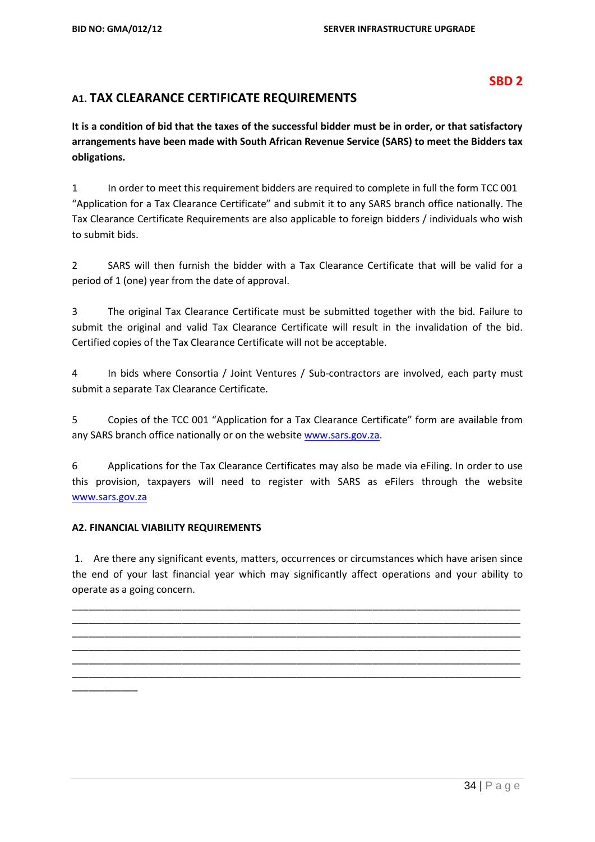#### **SBD 2**

## **A1. TAX CLEARANCE CERTIFICATE REQUIREMENTS**

**It is a condition of bid that the taxes of the successful bidder must be in order, or that satisfactory arrangements have been made with South African Revenue Service (SARS) to meet the Bidders tax obligations.**

1 In order to meet this requirement bidders are required to complete in full the form TCC 001 "Application for a Tax Clearance Certificate" and submit it to any SARS branch office nationally. The Tax Clearance Certificate Requirements are also applicable to foreign bidders / individuals who wish to submit bids.

2 SARS will then furnish the bidder with a Tax Clearance Certificate that will be valid for a period of 1 (one) year from the date of approval.

3 The original Tax Clearance Certificate must be submitted together with the bid. Failure to submit the original and valid Tax Clearance Certificate will result in the invalidation of the bid. Certified copies of the Tax Clearance Certificate will not be acceptable.

4 In bids where Consortia / Joint Ventures / Sub-contractors are involved, each party must submit a separate Tax Clearance Certificate.

5 Copies of the TCC 001 "Application for a Tax Clearance Certificate" form are available from any SARS branch office nationally or on the websit[e www.sars.gov.za.](http://www.sars.gov.za/)

6 Applications for the Tax Clearance Certificates may also be made via eFiling. In order to use this provision, taxpayers will need to register with SARS as eFilers through the website [www.sars.gov.za](http://www.sars.gov.za/)

#### **A2. FINANCIAL VIABILITY REQUIREMENTS**

\_\_\_\_\_\_\_\_\_\_\_\_

1. Are there any significant events, matters, occurrences or circumstances which have arisen since the end of your last financial year which may significantly affect operations and your ability to operate as a going concern.

\_\_\_\_\_\_\_\_\_\_\_\_\_\_\_\_\_\_\_\_\_\_\_\_\_\_\_\_\_\_\_\_\_\_\_\_\_\_\_\_\_\_\_\_\_\_\_\_\_\_\_\_\_\_\_\_\_\_\_\_\_\_\_\_\_\_\_\_\_\_\_\_\_\_\_\_\_\_\_\_\_\_ \_\_\_\_\_\_\_\_\_\_\_\_\_\_\_\_\_\_\_\_\_\_\_\_\_\_\_\_\_\_\_\_\_\_\_\_\_\_\_\_\_\_\_\_\_\_\_\_\_\_\_\_\_\_\_\_\_\_\_\_\_\_\_\_\_\_\_\_\_\_\_\_\_\_\_\_\_\_\_\_\_\_ \_\_\_\_\_\_\_\_\_\_\_\_\_\_\_\_\_\_\_\_\_\_\_\_\_\_\_\_\_\_\_\_\_\_\_\_\_\_\_\_\_\_\_\_\_\_\_\_\_\_\_\_\_\_\_\_\_\_\_\_\_\_\_\_\_\_\_\_\_\_\_\_\_\_\_\_\_\_\_\_\_\_ \_\_\_\_\_\_\_\_\_\_\_\_\_\_\_\_\_\_\_\_\_\_\_\_\_\_\_\_\_\_\_\_\_\_\_\_\_\_\_\_\_\_\_\_\_\_\_\_\_\_\_\_\_\_\_\_\_\_\_\_\_\_\_\_\_\_\_\_\_\_\_\_\_\_\_\_\_\_\_\_\_\_ \_\_\_\_\_\_\_\_\_\_\_\_\_\_\_\_\_\_\_\_\_\_\_\_\_\_\_\_\_\_\_\_\_\_\_\_\_\_\_\_\_\_\_\_\_\_\_\_\_\_\_\_\_\_\_\_\_\_\_\_\_\_\_\_\_\_\_\_\_\_\_\_\_\_\_\_\_\_\_\_\_\_ \_\_\_\_\_\_\_\_\_\_\_\_\_\_\_\_\_\_\_\_\_\_\_\_\_\_\_\_\_\_\_\_\_\_\_\_\_\_\_\_\_\_\_\_\_\_\_\_\_\_\_\_\_\_\_\_\_\_\_\_\_\_\_\_\_\_\_\_\_\_\_\_\_\_\_\_\_\_\_\_\_\_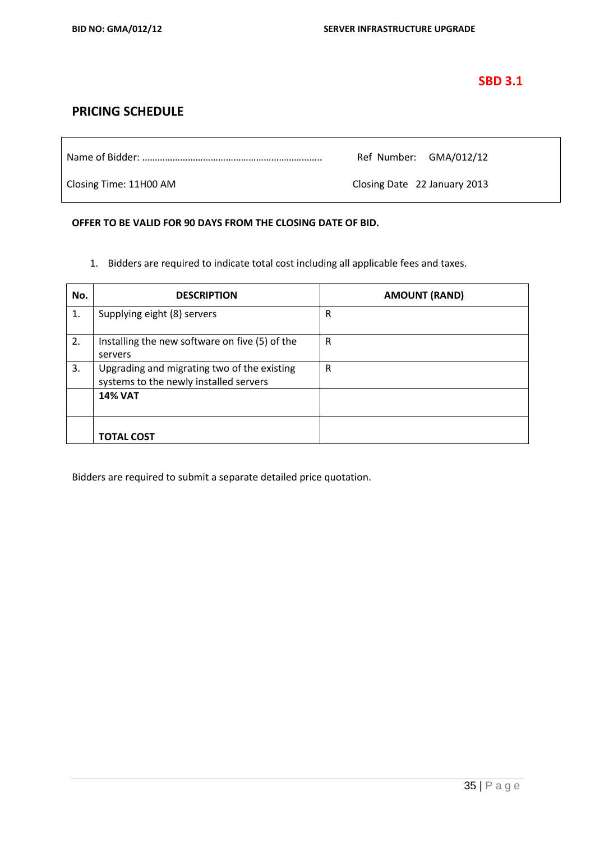#### **SBD 3.1**

### **PRICING SCHEDULE**

|                        | Ref Number: GMA/012/12       |
|------------------------|------------------------------|
| Closing Time: 11H00 AM | Closing Date 22 January 2013 |

#### **OFFER TO BE VALID FOR 90 DAYS FROM THE CLOSING DATE OF BID.**

1. Bidders are required to indicate total cost including all applicable fees and taxes.

| No. | <b>DESCRIPTION</b>                                                                    | <b>AMOUNT (RAND)</b> |
|-----|---------------------------------------------------------------------------------------|----------------------|
| 1.  | Supplying eight (8) servers                                                           | R                    |
| 2.  | Installing the new software on five (5) of the<br>servers                             | R                    |
| 3.  | Upgrading and migrating two of the existing<br>systems to the newly installed servers | R                    |
|     | <b>14% VAT</b>                                                                        |                      |
|     | TOTAL COST                                                                            |                      |

Bidders are required to submit a separate detailed price quotation.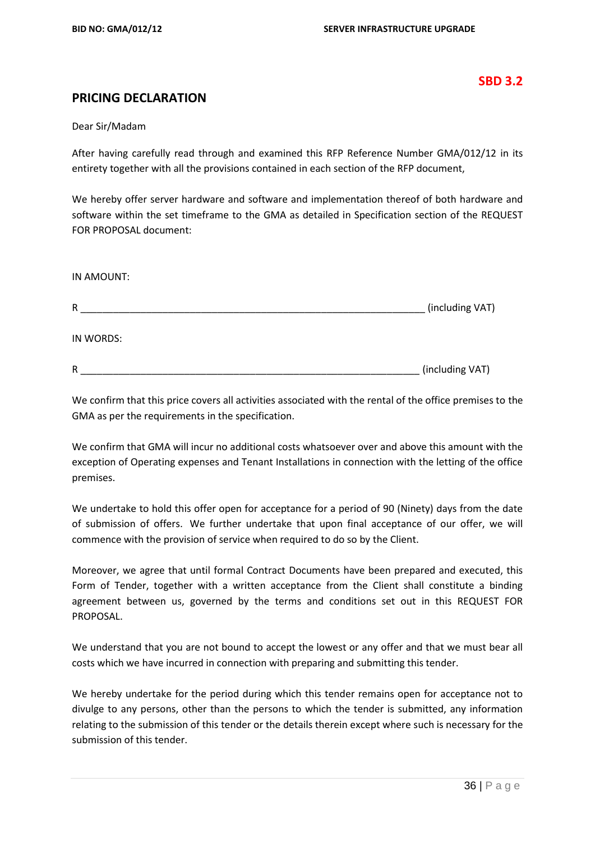#### **SBD 3.2**

#### **PRICING DECLARATION**

Dear Sir/Madam

After having carefully read through and examined this RFP Reference Number GMA/012/12 in its entirety together with all the provisions contained in each section of the RFP document,

We hereby offer server hardware and software and implementation thereof of both hardware and software within the set timeframe to the GMA as detailed in Specification section of the REQUEST FOR PROPOSAL document:

| IN AMOUNT: |                 |
|------------|-----------------|
| R          | (including VAT) |
| IN WORDS:  |                 |
| R          | (including VAT) |

We confirm that this price covers all activities associated with the rental of the office premises to the GMA as per the requirements in the specification.

We confirm that GMA will incur no additional costs whatsoever over and above this amount with the exception of Operating expenses and Tenant Installations in connection with the letting of the office premises.

We undertake to hold this offer open for acceptance for a period of 90 (Ninety) days from the date of submission of offers. We further undertake that upon final acceptance of our offer, we will commence with the provision of service when required to do so by the Client.

Moreover, we agree that until formal Contract Documents have been prepared and executed, this Form of Tender, together with a written acceptance from the Client shall constitute a binding agreement between us, governed by the terms and conditions set out in this REQUEST FOR PROPOSAL.

We understand that you are not bound to accept the lowest or any offer and that we must bear all costs which we have incurred in connection with preparing and submitting this tender.

We hereby undertake for the period during which this tender remains open for acceptance not to divulge to any persons, other than the persons to which the tender is submitted, any information relating to the submission of this tender or the details therein except where such is necessary for the submission of this tender.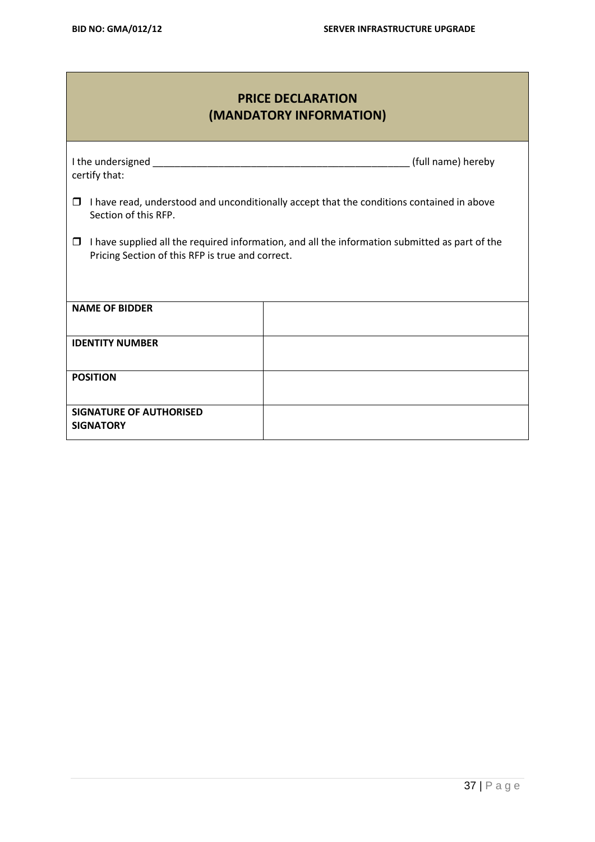# **PRICE DECLARATION (MANDATORY INFORMATION)**

| certify that:                                                                                                                                           | (full name) hereby |  |  |
|---------------------------------------------------------------------------------------------------------------------------------------------------------|--------------------|--|--|
| I have read, understood and unconditionally accept that the conditions contained in above<br>□<br>Section of this RFP.                                  |                    |  |  |
| I have supplied all the required information, and all the information submitted as part of the<br>□<br>Pricing Section of this RFP is true and correct. |                    |  |  |
|                                                                                                                                                         |                    |  |  |
| <b>NAME OF BIDDER</b>                                                                                                                                   |                    |  |  |
| <b>IDENTITY NUMBER</b>                                                                                                                                  |                    |  |  |
| <b>POSITION</b>                                                                                                                                         |                    |  |  |
| <b>SIGNATURE OF AUTHORISED</b><br><b>SIGNATORY</b>                                                                                                      |                    |  |  |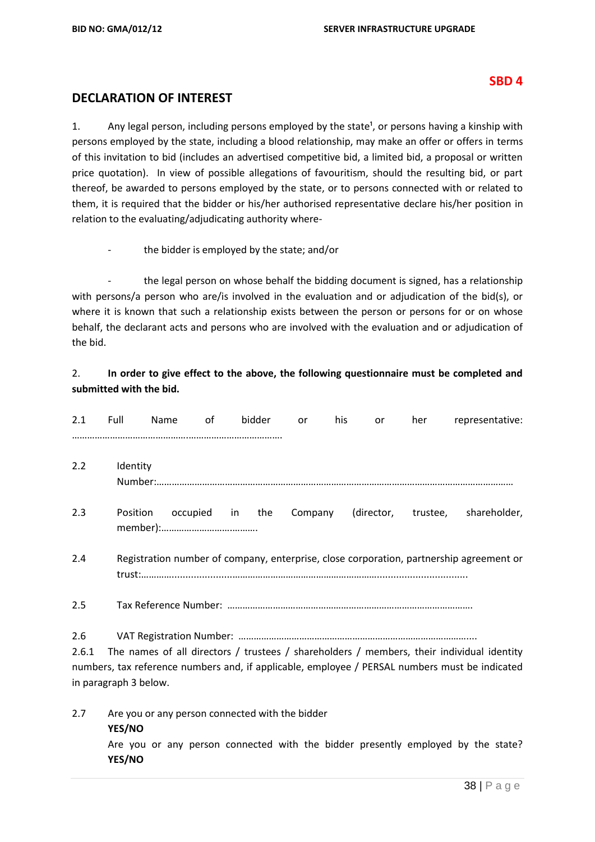**YES/NO**

#### **SBD 4**

#### **DECLARATION OF INTEREST**

1. Any legal person, including persons employed by the state<sup>1</sup>, or persons having a kinship with persons employed by the state, including a blood relationship, may make an offer or offers in terms of this invitation to bid (includes an advertised competitive bid, a limited bid, a proposal or written price quotation). In view of possible allegations of favouritism, should the resulting bid, or part thereof, be awarded to persons employed by the state, or to persons connected with or related to them, it is required that the bidder or his/her authorised representative declare his/her position in relation to the evaluating/adjudicating authority where-

the bidder is employed by the state; and/or

the legal person on whose behalf the bidding document is signed, has a relationship with persons/a person who are/is involved in the evaluation and or adjudication of the bid(s), or where it is known that such a relationship exists between the person or persons for or on whose behalf, the declarant acts and persons who are involved with the evaluation and or adjudication of the bid.

#### 2. **In order to give effect to the above, the following questionnaire must be completed and submitted with the bid.**

| 2.1          | Full                  | Name | of | bidder                                          | or | his | <b>or</b> | her | representative:                                                                                                                                                                             |
|--------------|-----------------------|------|----|-------------------------------------------------|----|-----|-----------|-----|---------------------------------------------------------------------------------------------------------------------------------------------------------------------------------------------|
| 2.2          | Identity              |      |    |                                                 |    |     |           |     |                                                                                                                                                                                             |
| 2.3          | Position              |      |    | occupied in the                                 |    |     |           |     | Company (director, trustee, shareholder,                                                                                                                                                    |
| 2.4          |                       |      |    |                                                 |    |     |           |     | Registration number of company, enterprise, close corporation, partnership agreement or                                                                                                     |
| 2.5          |                       |      |    |                                                 |    |     |           |     |                                                                                                                                                                                             |
| 2.6<br>2.6.1 | in paragraph 3 below. |      |    |                                                 |    |     |           |     | The names of all directors / trustees / shareholders / members, their individual identity<br>numbers, tax reference numbers and, if applicable, employee / PERSAL numbers must be indicated |
| 2.7          | YES/NO                |      |    | Are you or any person connected with the bidder |    |     |           |     | Are you or any person connected with the bidder presently employed by the state?                                                                                                            |
|              |                       |      |    |                                                 |    |     |           |     |                                                                                                                                                                                             |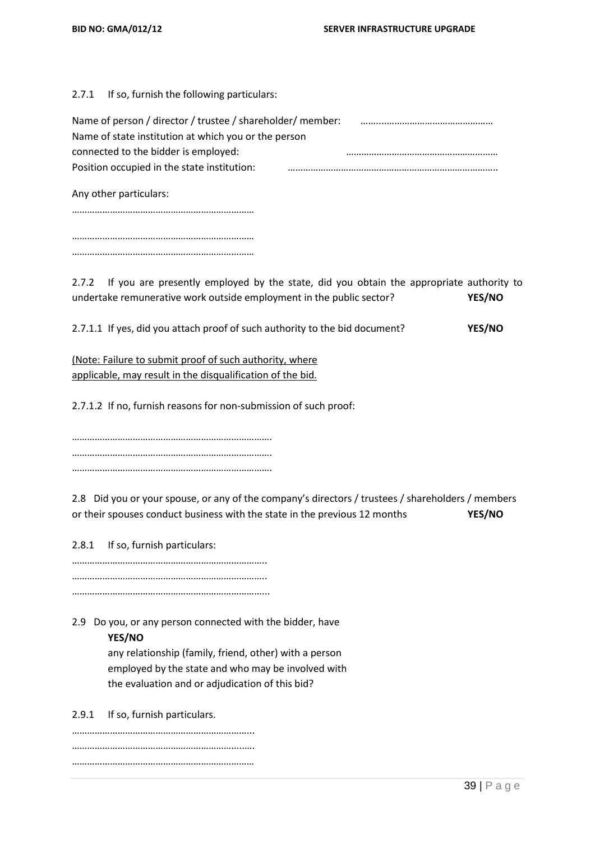2.7.1 If so, furnish the following particulars:

| Name of person / director / trustee / shareholder/ member: |  |
|------------------------------------------------------------|--|
| Name of state institution at which you or the person       |  |
| connected to the bidder is employed:                       |  |
| Position occupied in the state institution:                |  |
|                                                            |  |

Any other particulars:

……………………………………………………………… ………………………………………………………………

………………………………………………………………

2.7.2 If you are presently employed by the state, did you obtain the appropriate authority to undertake remunerative work outside employment in the public sector? **YES/NO**

2.7.1.1 If yes, did you attach proof of such authority to the bid document? **YES/NO**

(Note: Failure to submit proof of such authority, where applicable, may result in the disqualification of the bid.

2.7.1.2 If no, furnish reasons for non-submission of such proof:

……………………………………………………………………. ……………………………………………………………………. …………………………………………………………………….

2.8 Did you or your spouse, or any of the company's directors / trustees / shareholders / members or their spouses conduct business with the state in the previous 12 months **YES/NO**

2.8.1 If so, furnish particulars:

………………………………………………………………….. ………………………………………………………………….. …………………………………………………………………...

2.9 Do you, or any person connected with the bidder, have **YES/NO**

> any relationship (family, friend, other) with a person employed by the state and who may be involved with the evaluation and or adjudication of this bid?

2.9.1 If so, furnish particulars.

……………………………………………………………... …………………………………………………………..…. ………………………………………………………………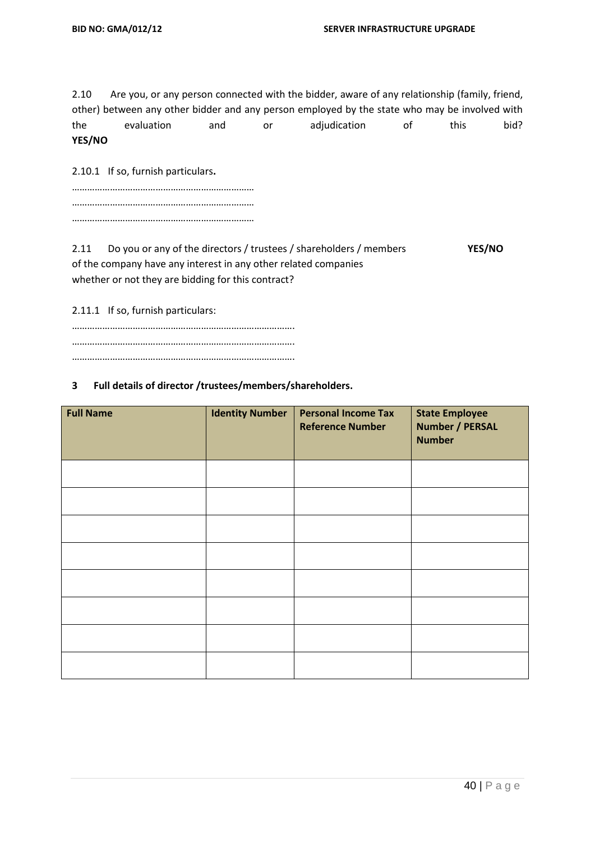2.10 Are you, or any person connected with the bidder, aware of any relationship (family, friend, other) between any other bidder and any person employed by the state who may be involved with the evaluation and or adjudication of this bid? **YES/NO**

2.10.1 If so, furnish particulars**.**

2.11 Do you or any of the directors / trustees / shareholders / members **YES/NO** of the company have any interest in any other related companies whether or not they are bidding for this contract?

2.11.1 If so, furnish particulars:

……………………………………………………………………………. ……………………………………………………………………………. …………………………………………………………………………….

#### **3 Full details of director /trustees/members/shareholders.**

| <b>Full Name</b> | <b>Identity Number</b> | <b>Personal Income Tax</b><br><b>Reference Number</b> | <b>State Employee</b><br><b>Number / PERSAL</b><br><b>Number</b> |
|------------------|------------------------|-------------------------------------------------------|------------------------------------------------------------------|
|                  |                        |                                                       |                                                                  |
|                  |                        |                                                       |                                                                  |
|                  |                        |                                                       |                                                                  |
|                  |                        |                                                       |                                                                  |
|                  |                        |                                                       |                                                                  |
|                  |                        |                                                       |                                                                  |
|                  |                        |                                                       |                                                                  |
|                  |                        |                                                       |                                                                  |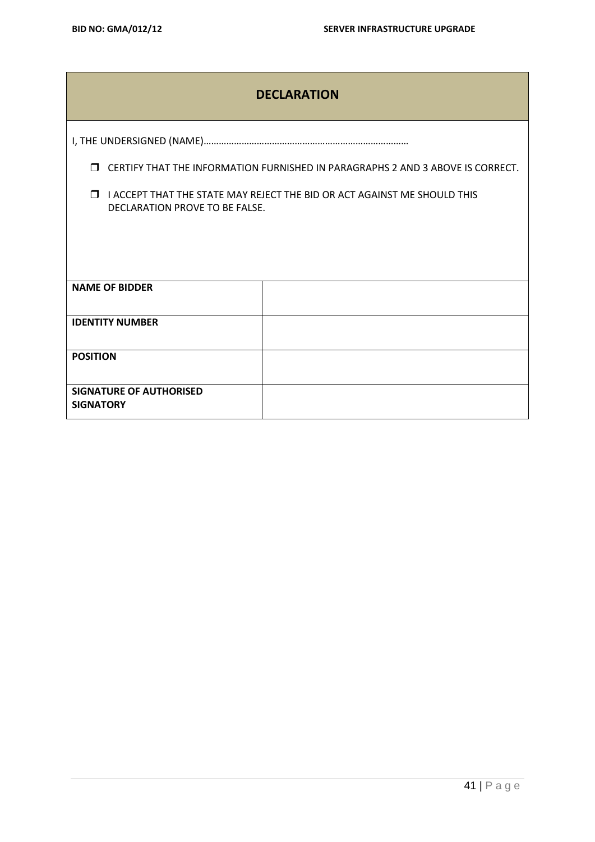|                                                    | <b>DECLARATION</b>                                                                                         |  |  |  |  |
|----------------------------------------------------|------------------------------------------------------------------------------------------------------------|--|--|--|--|
|                                                    |                                                                                                            |  |  |  |  |
| $\Box$                                             | CERTIFY THAT THE INFORMATION FURNISHED IN PARAGRAPHS 2 AND 3 ABOVE IS CORRECT.                             |  |  |  |  |
| $\Box$                                             | I ACCEPT THAT THE STATE MAY REJECT THE BID OR ACT AGAINST ME SHOULD THIS<br>DECLARATION PROVE TO BE FALSE. |  |  |  |  |
|                                                    |                                                                                                            |  |  |  |  |
|                                                    |                                                                                                            |  |  |  |  |
| <b>NAME OF BIDDER</b>                              |                                                                                                            |  |  |  |  |
| <b>IDENTITY NUMBER</b>                             |                                                                                                            |  |  |  |  |
| <b>POSITION</b>                                    |                                                                                                            |  |  |  |  |
| <b>SIGNATURE OF AUTHORISED</b><br><b>SIGNATORY</b> |                                                                                                            |  |  |  |  |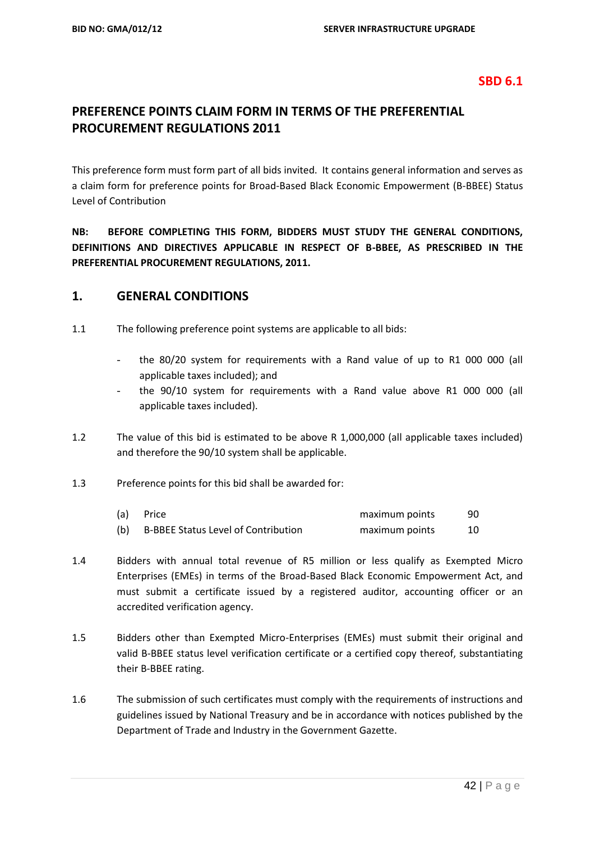#### **SBD 6.1**

# **PREFERENCE POINTS CLAIM FORM IN TERMS OF THE PREFERENTIAL PROCUREMENT REGULATIONS 2011**

This preference form must form part of all bids invited. It contains general information and serves as a claim form for preference points for Broad-Based Black Economic Empowerment (B-BBEE) Status Level of Contribution

**NB: BEFORE COMPLETING THIS FORM, BIDDERS MUST STUDY THE GENERAL CONDITIONS, DEFINITIONS AND DIRECTIVES APPLICABLE IN RESPECT OF B-BBEE, AS PRESCRIBED IN THE PREFERENTIAL PROCUREMENT REGULATIONS, 2011.** 

#### **1. GENERAL CONDITIONS**

- 1.1 The following preference point systems are applicable to all bids:
	- the 80/20 system for requirements with a Rand value of up to R1 000 000 (all applicable taxes included); and
	- the 90/10 system for requirements with a Rand value above R1 000 000 (all applicable taxes included).
- 1.2 The value of this bid is estimated to be above R 1,000,000 (all applicable taxes included) and therefore the 90/10 system shall be applicable.
- 1.3 Preference points for this bid shall be awarded for:

| (a) | Price                                      | maximum points | 90 |
|-----|--------------------------------------------|----------------|----|
| (b) | <b>B-BBEE Status Level of Contribution</b> | maximum points |    |

- 1.4 Bidders with annual total revenue of R5 million or less qualify as Exempted Micro Enterprises (EMEs) in terms of the Broad-Based Black Economic Empowerment Act, and must submit a certificate issued by a registered auditor, accounting officer or an accredited verification agency.
- 1.5 Bidders other than Exempted Micro-Enterprises (EMEs) must submit their original and valid B-BBEE status level verification certificate or a certified copy thereof, substantiating their B-BBEE rating.
- 1.6 The submission of such certificates must comply with the requirements of instructions and guidelines issued by National Treasury and be in accordance with notices published by the Department of Trade and Industry in the Government Gazette.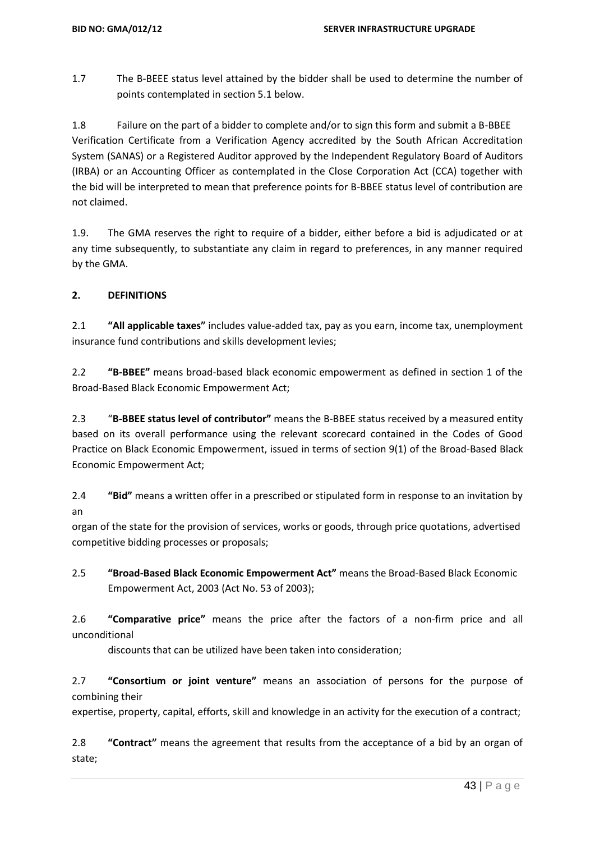1.7 The B-BEEE status level attained by the bidder shall be used to determine the number of points contemplated in section 5.1 below.

1.8 Failure on the part of a bidder to complete and/or to sign this form and submit a B-BBEE Verification Certificate from a Verification Agency accredited by the South African Accreditation System (SANAS) or a Registered Auditor approved by the Independent Regulatory Board of Auditors (IRBA) or an Accounting Officer as contemplated in the Close Corporation Act (CCA) together with the bid will be interpreted to mean that preference points for B-BBEE status level of contribution are not claimed.

1.9. The GMA reserves the right to require of a bidder, either before a bid is adjudicated or at any time subsequently, to substantiate any claim in regard to preferences, in any manner required by the GMA.

#### **2. DEFINITIONS**

2.1 **"All applicable taxes"** includes value-added tax, pay as you earn, income tax, unemployment insurance fund contributions and skills development levies;

2.2 **"B-BBEE"** means broad-based black economic empowerment as defined in section 1 of the Broad-Based Black Economic Empowerment Act;

2.3 "**B-BBEE status level of contributor"** means the B-BBEE status received by a measured entity based on its overall performance using the relevant scorecard contained in the Codes of Good Practice on Black Economic Empowerment, issued in terms of section 9(1) of the Broad-Based Black Economic Empowerment Act;

2.4 **"Bid"** means a written offer in a prescribed or stipulated form in response to an invitation by an

organ of the state for the provision of services, works or goods, through price quotations, advertised competitive bidding processes or proposals;

2.5 **"Broad-Based Black Economic Empowerment Act"** means the Broad-Based Black Economic Empowerment Act, 2003 (Act No. 53 of 2003);

2.6 **"Comparative price"** means the price after the factors of a non-firm price and all unconditional

discounts that can be utilized have been taken into consideration;

2.7 **"Consortium or joint venture"** means an association of persons for the purpose of combining their

expertise, property, capital, efforts, skill and knowledge in an activity for the execution of a contract;

2.8 **"Contract"** means the agreement that results from the acceptance of a bid by an organ of state;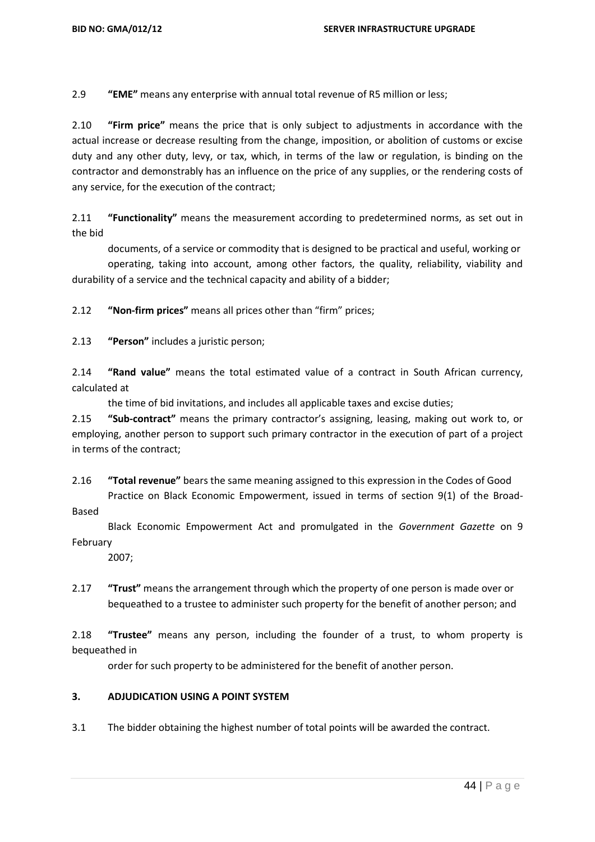2.9 **"EME"** means any enterprise with annual total revenue of R5 million or less;

2.10 **"Firm price"** means the price that is only subject to adjustments in accordance with the actual increase or decrease resulting from the change, imposition, or abolition of customs or excise duty and any other duty, levy, or tax, which, in terms of the law or regulation, is binding on the contractor and demonstrably has an influence on the price of any supplies, or the rendering costs of any service, for the execution of the contract;

2.11 **"Functionality"** means the measurement according to predetermined norms, as set out in the bid

documents, of a service or commodity that is designed to be practical and useful, working or

 operating, taking into account, among other factors, the quality, reliability, viability and durability of a service and the technical capacity and ability of a bidder;

2.12 **"Non-firm prices"** means all prices other than "firm" prices;

2.13 **"Person"** includes a juristic person;

2.14 **"Rand value"** means the total estimated value of a contract in South African currency, calculated at

the time of bid invitations, and includes all applicable taxes and excise duties;

2.15 **"Sub-contract"** means the primary contractor's assigning, leasing, making out work to, or employing, another person to support such primary contractor in the execution of part of a project in terms of the contract;

2.16 **"Total revenue"** bears the same meaning assigned to this expression in the Codes of Good Practice on Black Economic Empowerment, issued in terms of section 9(1) of the Broad-

Based

 Black Economic Empowerment Act and promulgated in the *Government Gazette* on 9 February

2007;

2.17 **"Trust"** means the arrangement through which the property of one person is made over or bequeathed to a trustee to administer such property for the benefit of another person; and

2.18 **"Trustee"** means any person, including the founder of a trust, to whom property is bequeathed in

order for such property to be administered for the benefit of another person.

#### **3. ADJUDICATION USING A POINT SYSTEM**

3.1 The bidder obtaining the highest number of total points will be awarded the contract.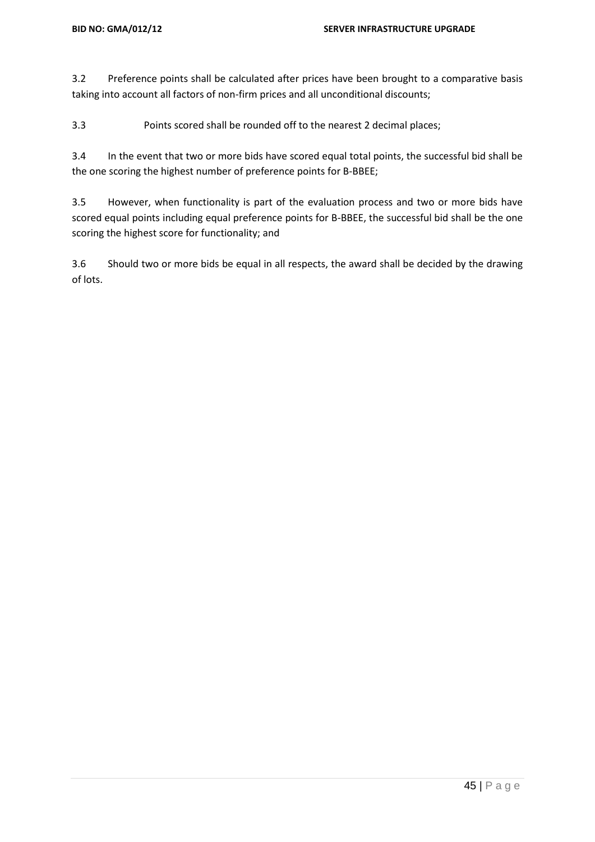3.2 Preference points shall be calculated after prices have been brought to a comparative basis taking into account all factors of non-firm prices and all unconditional discounts;

3.3 Points scored shall be rounded off to the nearest 2 decimal places;

3.4 In the event that two or more bids have scored equal total points, the successful bid shall be the one scoring the highest number of preference points for B-BBEE;

3.5 However, when functionality is part of the evaluation process and two or more bids have scored equal points including equal preference points for B-BBEE, the successful bid shall be the one scoring the highest score for functionality; and

3.6 Should two or more bids be equal in all respects, the award shall be decided by the drawing of lots.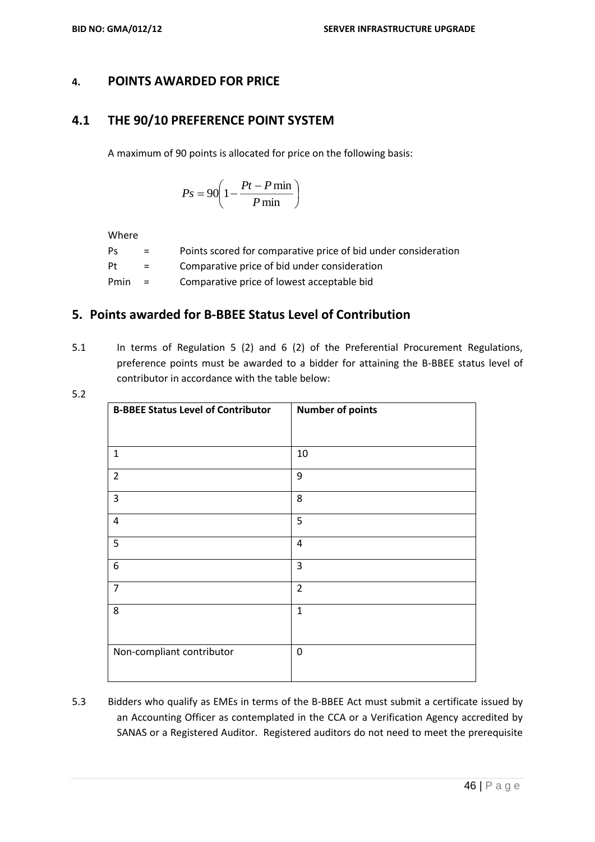#### **4. POINTS AWARDED FOR PRICE**

# **4.1 THE 90/10 PREFERENCE POINT SYSTEM**

A maximum of 90 points is allocated for price on the following basis:

$$
Ps = 90 \left( 1 - \frac{Pt - P \min}{P \min} \right)
$$

Where

| Ps   | $=$ | Points scored for comparative price of bid under consideration |
|------|-----|----------------------------------------------------------------|
| Pt   | $=$ | Comparative price of bid under consideration                   |
| Pmin | $=$ | Comparative price of lowest acceptable bid                     |

#### **5. Points awarded for B-BBEE Status Level of Contribution**

5.1 In terms of Regulation 5 (2) and 6 (2) of the Preferential Procurement Regulations, preference points must be awarded to a bidder for attaining the B-BBEE status level of contributor in accordance with the table below:

| ۰.<br>۰. | ٠<br>۰. |
|----------|---------|
|          |         |

| <b>B-BBEE Status Level of Contributor</b> | <b>Number of points</b> |
|-------------------------------------------|-------------------------|
|                                           |                         |
| $\mathbf{1}$                              | 10                      |
| $\overline{2}$                            | 9                       |
| 3                                         | 8                       |
| $\overline{\mathbf{4}}$                   | 5                       |
| 5                                         | 4                       |
| 6                                         | $\overline{3}$          |
| $\overline{7}$                            | $\overline{2}$          |
| 8                                         | $\mathbf{1}$            |
|                                           |                         |
| Non-compliant contributor                 | 0                       |
|                                           |                         |

5.3 Bidders who qualify as EMEs in terms of the B-BBEE Act must submit a certificate issued by an Accounting Officer as contemplated in the CCA or a Verification Agency accredited by SANAS or a Registered Auditor. Registered auditors do not need to meet the prerequisite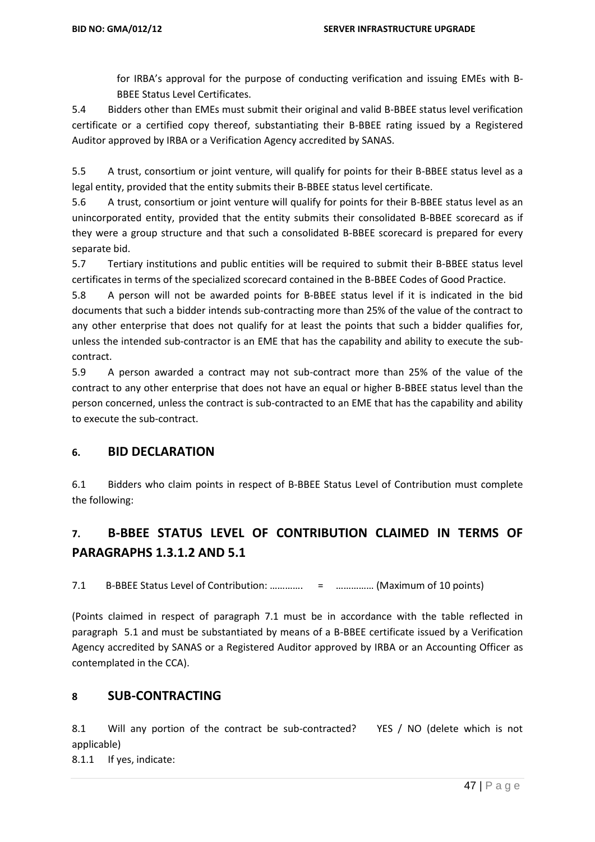for IRBA's approval for the purpose of conducting verification and issuing EMEs with B-BBEE Status Level Certificates.

5.4 Bidders other than EMEs must submit their original and valid B-BBEE status level verification certificate or a certified copy thereof, substantiating their B-BBEE rating issued by a Registered Auditor approved by IRBA or a Verification Agency accredited by SANAS.

5.5 A trust, consortium or joint venture, will qualify for points for their B-BBEE status level as a legal entity, provided that the entity submits their B-BBEE status level certificate.

5.6 A trust, consortium or joint venture will qualify for points for their B-BBEE status level as an unincorporated entity, provided that the entity submits their consolidated B-BBEE scorecard as if they were a group structure and that such a consolidated B-BBEE scorecard is prepared for every separate bid.

5.7 Tertiary institutions and public entities will be required to submit their B-BBEE status level certificates in terms of the specialized scorecard contained in the B-BBEE Codes of Good Practice.

5.8 A person will not be awarded points for B-BBEE status level if it is indicated in the bid documents that such a bidder intends sub-contracting more than 25% of the value of the contract to any other enterprise that does not qualify for at least the points that such a bidder qualifies for, unless the intended sub-contractor is an EME that has the capability and ability to execute the subcontract.

5.9 A person awarded a contract may not sub-contract more than 25% of the value of the contract to any other enterprise that does not have an equal or higher B-BBEE status level than the person concerned, unless the contract is sub-contracted to an EME that has the capability and ability to execute the sub-contract.

# **6. BID DECLARATION**

6.1 Bidders who claim points in respect of B-BBEE Status Level of Contribution must complete the following:

# **7. B-BBEE STATUS LEVEL OF CONTRIBUTION CLAIMED IN TERMS OF PARAGRAPHS 1.3.1.2 AND 5.1**

7.1 B-BBEE Status Level of Contribution: …………. = …………… (Maximum of 10 points)

(Points claimed in respect of paragraph 7.1 must be in accordance with the table reflected in paragraph 5.1 and must be substantiated by means of a B-BBEE certificate issued by a Verification Agency accredited by SANAS or a Registered Auditor approved by IRBA or an Accounting Officer as contemplated in the CCA).

#### **8 SUB-CONTRACTING**

8.1 Will any portion of the contract be sub-contracted? YES / NO (delete which is not applicable)

8.1.1 If yes, indicate: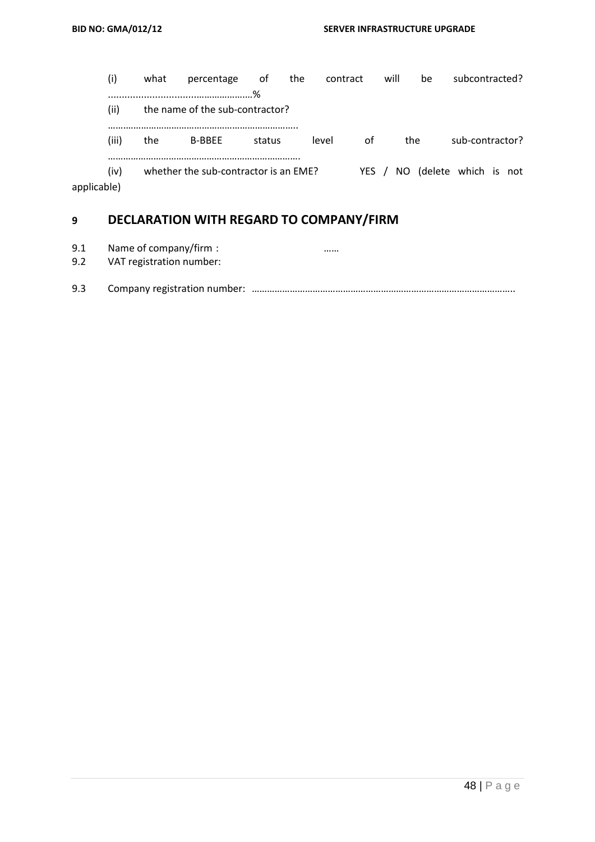|             | (i)   | what | percentage                            | ot     | the | contract |       | will |     | be                      | subcontracted?  |  |
|-------------|-------|------|---------------------------------------|--------|-----|----------|-------|------|-----|-------------------------|-----------------|--|
|             |       |      |                                       | %      |     |          |       |      |     |                         |                 |  |
|             | (ii)  |      | the name of the sub-contractor?       |        |     |          |       |      |     |                         |                 |  |
|             |       |      |                                       |        |     |          |       |      |     |                         |                 |  |
|             | (iii) | the  | <b>B-BBEE</b>                         | status |     | level    | of    |      | the |                         | sub-contractor? |  |
|             |       |      |                                       |        |     |          |       |      |     |                         |                 |  |
|             | (iv)  |      | whether the sub-contractor is an EME? |        |     |          | YES / |      |     | NO (delete which is not |                 |  |
| applicable) |       |      |                                       |        |     |          |       |      |     |                         |                 |  |

# **9 DECLARATION WITH REGARD TO COMPANY/FIRM**

- 9.1 Name of company/firm : many company of the set of the set of the set of the set of the set of the set of the set of the set of the set of the set of the set of the set of the set of the set of the set of the set of the
- 9.2 VAT registration number:
- 9.3 Company registration number: …………………………………………………………………………………………..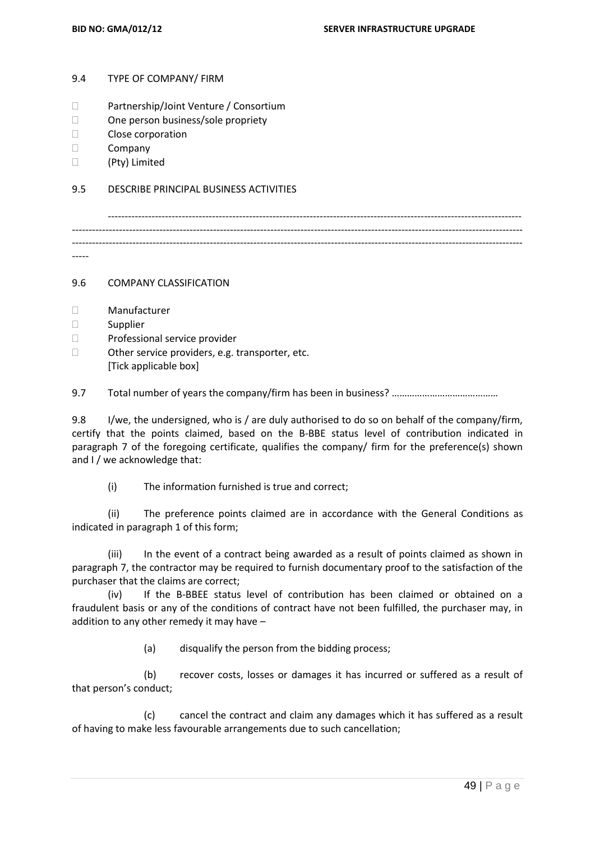#### 9.4 TYPE OF COMPANY/ FIRM

- □ Partnership/Joint Venture / Consortium
- □ One person business/sole propriety
- Close corporation
- Company
- (Pty) Limited

#### 9.5 DESCRIBE PRINCIPAL BUSINESS ACTIVITIES

--------------------------------------------------------------------------------------------------------------------------- -------------------------------------------------------------------------------------------------------------------------------------- -------------------------------------------------------------------------------------------------------------------------------------- -----

9.6 COMPANY CLASSIFICATION

- Manufacturer
- Supplier
- D Professional service provider
- $\Box$  Other service providers, e.g. transporter, etc. [Tick applicable box]

9.7 Total number of years the company/firm has been in business? ………………………………………

9.8 I/we, the undersigned, who is / are duly authorised to do so on behalf of the company/firm, certify that the points claimed, based on the B-BBE status level of contribution indicated in paragraph 7 of the foregoing certificate, qualifies the company/ firm for the preference(s) shown and I / we acknowledge that:

(i) The information furnished is true and correct;

(ii) The preference points claimed are in accordance with the General Conditions as indicated in paragraph 1 of this form;

(iii) In the event of a contract being awarded as a result of points claimed as shown in paragraph 7, the contractor may be required to furnish documentary proof to the satisfaction of the purchaser that the claims are correct;

(iv) If the B-BBEE status level of contribution has been claimed or obtained on a fraudulent basis or any of the conditions of contract have not been fulfilled, the purchaser may, in addition to any other remedy it may have –

(a) disqualify the person from the bidding process;

(b) recover costs, losses or damages it has incurred or suffered as a result of that person's conduct;

(c) cancel the contract and claim any damages which it has suffered as a result of having to make less favourable arrangements due to such cancellation;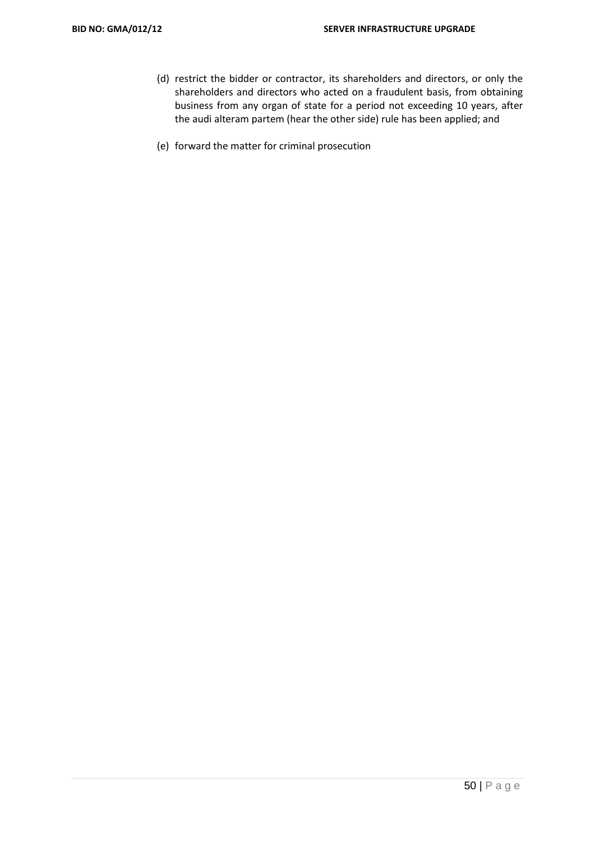- (d) restrict the bidder or contractor, its shareholders and directors, or only the shareholders and directors who acted on a fraudulent basis, from obtaining business from any organ of state for a period not exceeding 10 years, after the audi alteram partem (hear the other side) rule has been applied; and
- (e) forward the matter for criminal prosecution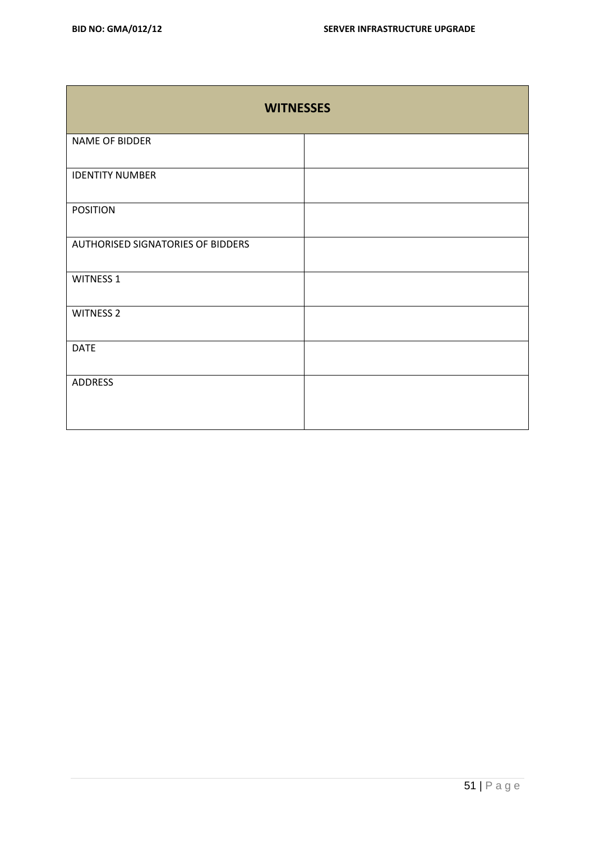| <b>WITNESSES</b>                         |  |  |  |
|------------------------------------------|--|--|--|
| NAME OF BIDDER                           |  |  |  |
| <b>IDENTITY NUMBER</b>                   |  |  |  |
| <b>POSITION</b>                          |  |  |  |
| <b>AUTHORISED SIGNATORIES OF BIDDERS</b> |  |  |  |
| <b>WITNESS 1</b>                         |  |  |  |
| <b>WITNESS 2</b>                         |  |  |  |
| <b>DATE</b>                              |  |  |  |
| <b>ADDRESS</b>                           |  |  |  |
|                                          |  |  |  |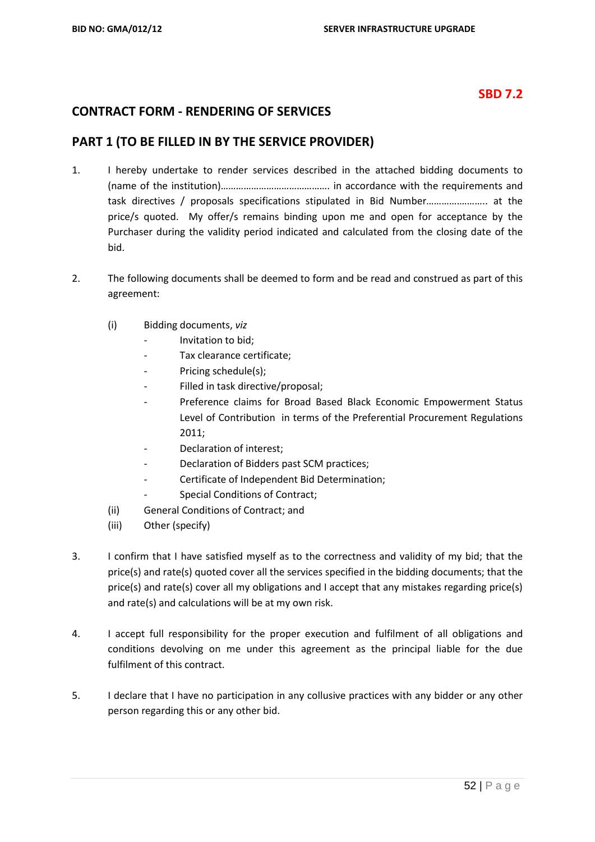### **SBD 7.2**

### **CONTRACT FORM - RENDERING OF SERVICES**

#### **PART 1 (TO BE FILLED IN BY THE SERVICE PROVIDER)**

- 1. I hereby undertake to render services described in the attached bidding documents to (name of the institution)……………………………………. in accordance with the requirements and task directives / proposals specifications stipulated in Bid Number………….……….. at the price/s quoted. My offer/s remains binding upon me and open for acceptance by the Purchaser during the validity period indicated and calculated from the closing date of the bid.
- 2. The following documents shall be deemed to form and be read and construed as part of this agreement:
	- (i) Bidding documents, *viz*
		- *-* Invitation to bid;
		- *-* Tax clearance certificate;
		- *-* Pricing schedule(s);
		- *-* Filled in task directive/proposal;
		- *-* Preference claims for Broad Based Black Economic Empowerment Status Level of Contribution in terms of the Preferential Procurement Regulations 2011;
		- Declaration of interest;
		- *-* Declaration of Bidders past SCM practices;
		- *-* Certificate of Independent Bid Determination;
		- **Special Conditions of Contract;**
	- (ii) General Conditions of Contract; and
	- (iii) Other (specify)
- 3. I confirm that I have satisfied myself as to the correctness and validity of my bid; that the price(s) and rate(s) quoted cover all the services specified in the bidding documents; that the price(s) and rate(s) cover all my obligations and I accept that any mistakes regarding price(s) and rate(s) and calculations will be at my own risk.
- 4. I accept full responsibility for the proper execution and fulfilment of all obligations and conditions devolving on me under this agreement as the principal liable for the due fulfilment of this contract.
- 5. I declare that I have no participation in any collusive practices with any bidder or any other person regarding this or any other bid.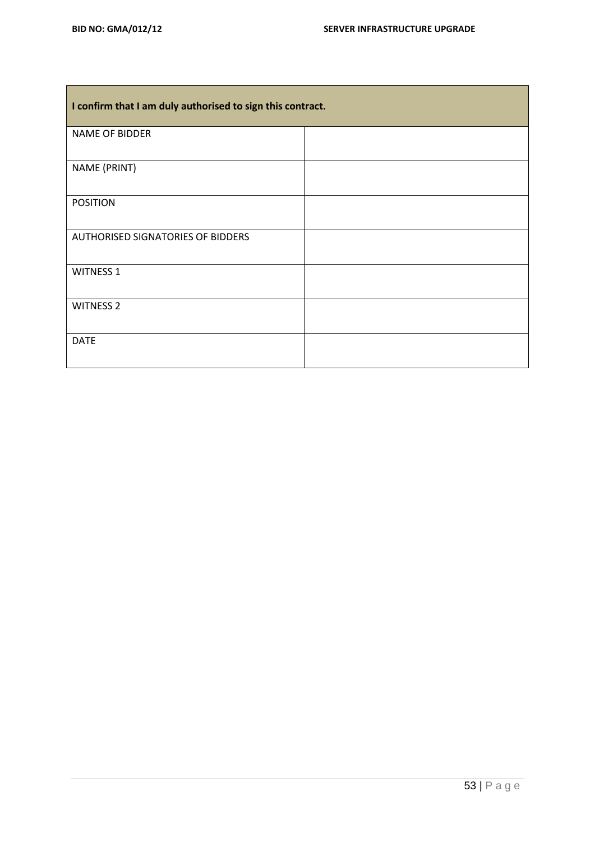| I confirm that I am duly authorised to sign this contract. |  |  |  |  |
|------------------------------------------------------------|--|--|--|--|
| <b>NAME OF BIDDER</b>                                      |  |  |  |  |
| NAME (PRINT)                                               |  |  |  |  |
| <b>POSITION</b>                                            |  |  |  |  |
| AUTHORISED SIGNATORIES OF BIDDERS                          |  |  |  |  |
| <b>WITNESS 1</b>                                           |  |  |  |  |
| <b>WITNESS 2</b>                                           |  |  |  |  |
| <b>DATE</b>                                                |  |  |  |  |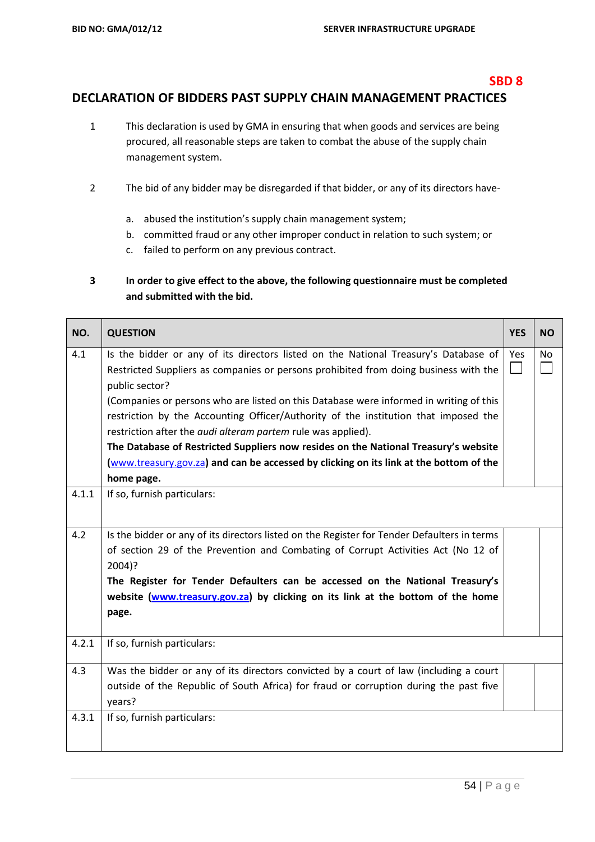#### **SBD 8**

## **DECLARATION OF BIDDERS PAST SUPPLY CHAIN MANAGEMENT PRACTICES**

- 1 This declaration is used by GMA in ensuring that when goods and services are being procured, all reasonable steps are taken to combat the abuse of the supply chain management system.
- 2 The bid of any bidder may be disregarded if that bidder, or any of its directors have
	- a. abused the institution's supply chain management system;
	- b. committed fraud or any other improper conduct in relation to such system; or
	- c. failed to perform on any previous contract.

### **3 In order to give effect to the above, the following questionnaire must be completed and submitted with the bid.**

| NO.   | <b>QUESTION</b>                                                                             | <b>YES</b>     | <b>NO</b>      |
|-------|---------------------------------------------------------------------------------------------|----------------|----------------|
| 4.1   | Is the bidder or any of its directors listed on the National Treasury's Database of         | Yes            | N <sub>o</sub> |
|       | Restricted Suppliers as companies or persons prohibited from doing business with the        | $\blacksquare$ |                |
|       | public sector?                                                                              |                |                |
|       | (Companies or persons who are listed on this Database were informed in writing of this      |                |                |
|       | restriction by the Accounting Officer/Authority of the institution that imposed the         |                |                |
|       | restriction after the <i>audi alteram partem</i> rule was applied).                         |                |                |
|       | The Database of Restricted Suppliers now resides on the National Treasury's website         |                |                |
|       | (www.treasury.gov.za) and can be accessed by clicking on its link at the bottom of the      |                |                |
|       | home page.                                                                                  |                |                |
| 4.1.1 | If so, furnish particulars:                                                                 |                |                |
|       |                                                                                             |                |                |
| 4.2   | Is the bidder or any of its directors listed on the Register for Tender Defaulters in terms |                |                |
|       | of section 29 of the Prevention and Combating of Corrupt Activities Act (No 12 of           |                |                |
|       | 2004)?                                                                                      |                |                |
|       | The Register for Tender Defaulters can be accessed on the National Treasury's               |                |                |
|       | website (www.treasury.gov.za) by clicking on its link at the bottom of the home             |                |                |
|       | page.                                                                                       |                |                |
|       |                                                                                             |                |                |
| 4.2.1 | If so, furnish particulars:                                                                 |                |                |
| 4.3   | Was the bidder or any of its directors convicted by a court of law (including a court       |                |                |
|       | outside of the Republic of South Africa) for fraud or corruption during the past five       |                |                |
|       | years?                                                                                      |                |                |
| 4.3.1 | If so, furnish particulars:                                                                 |                |                |
|       |                                                                                             |                |                |
|       |                                                                                             |                |                |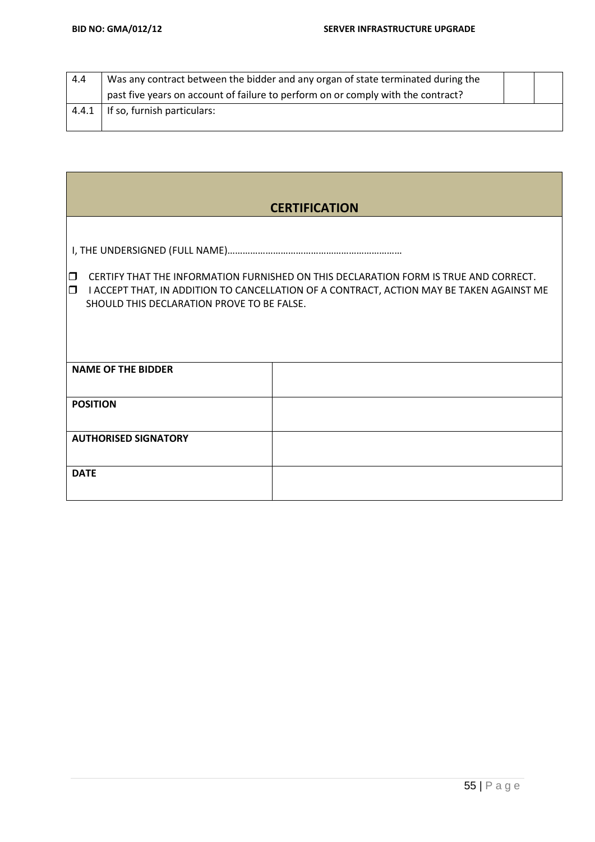| 4.4   | Was any contract between the bidder and any organ of state terminated during the |  |
|-------|----------------------------------------------------------------------------------|--|
|       | past five years on account of failure to perform on or comply with the contract? |  |
| 4.4.1 | If so, furnish particulars:                                                      |  |
|       |                                                                                  |  |

|                                                                                                                                                                                                                                           | <b>CERTIFICATION</b> |  |  |  |
|-------------------------------------------------------------------------------------------------------------------------------------------------------------------------------------------------------------------------------------------|----------------------|--|--|--|
|                                                                                                                                                                                                                                           |                      |  |  |  |
| CERTIFY THAT THE INFORMATION FURNISHED ON THIS DECLARATION FORM IS TRUE AND CORRECT.<br>Io<br>O<br>I ACCEPT THAT, IN ADDITION TO CANCELLATION OF A CONTRACT, ACTION MAY BE TAKEN AGAINST ME<br>SHOULD THIS DECLARATION PROVE TO BE FALSE. |                      |  |  |  |
| <b>NAME OF THE BIDDER</b>                                                                                                                                                                                                                 |                      |  |  |  |
| <b>POSITION</b>                                                                                                                                                                                                                           |                      |  |  |  |
| <b>AUTHORISED SIGNATORY</b>                                                                                                                                                                                                               |                      |  |  |  |
| <b>DATE</b>                                                                                                                                                                                                                               |                      |  |  |  |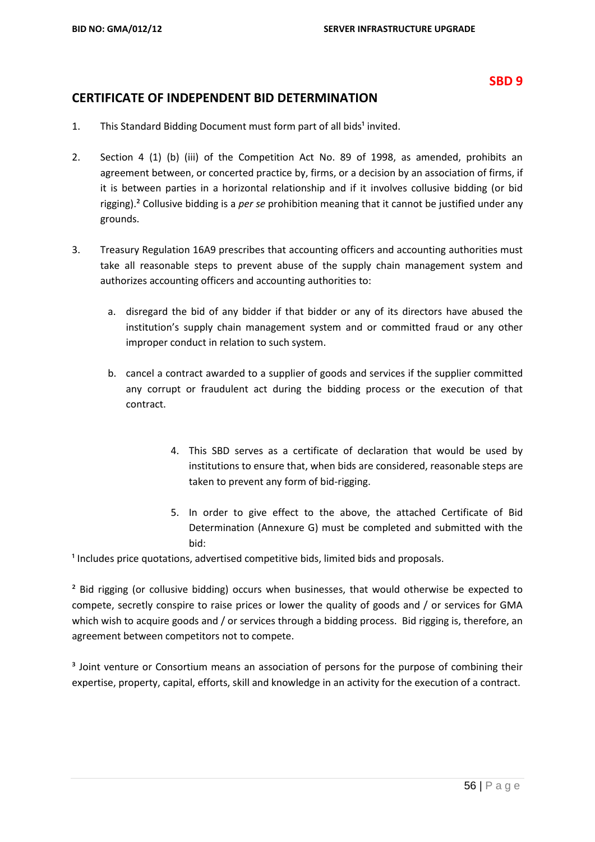#### **SBD 9**

#### **CERTIFICATE OF INDEPENDENT BID DETERMINATION**

- 1. This Standard Bidding Document must form part of all bids<sup>1</sup> invited.
- 2. Section 4 (1) (b) (iii) of the Competition Act No. 89 of 1998, as amended, prohibits an agreement between, or concerted practice by, firms, or a decision by an association of firms, if it is between parties in a horizontal relationship and if it involves collusive bidding (or bid rigging).² Collusive bidding is a *per se* prohibition meaning that it cannot be justified under any grounds.
- 3. Treasury Regulation 16A9 prescribes that accounting officers and accounting authorities must take all reasonable steps to prevent abuse of the supply chain management system and authorizes accounting officers and accounting authorities to:
	- a. disregard the bid of any bidder if that bidder or any of its directors have abused the institution's supply chain management system and or committed fraud or any other improper conduct in relation to such system.
	- b. cancel a contract awarded to a supplier of goods and services if the supplier committed any corrupt or fraudulent act during the bidding process or the execution of that contract.
		- 4. This SBD serves as a certificate of declaration that would be used by institutions to ensure that, when bids are considered, reasonable steps are taken to prevent any form of bid-rigging.
		- 5. In order to give effect to the above, the attached Certificate of Bid Determination (Annexure G) must be completed and submitted with the bid:

<sup>1</sup> Includes price quotations, advertised competitive bids, limited bids and proposals.

<sup>2</sup> Bid rigging (or collusive bidding) occurs when businesses, that would otherwise be expected to compete, secretly conspire to raise prices or lower the quality of goods and / or services for GMA which wish to acquire goods and / or services through a bidding process. Bid rigging is, therefore, an agreement between competitors not to compete.

<sup>3</sup> Joint venture or Consortium means an association of persons for the purpose of combining their expertise, property, capital, efforts, skill and knowledge in an activity for the execution of a contract.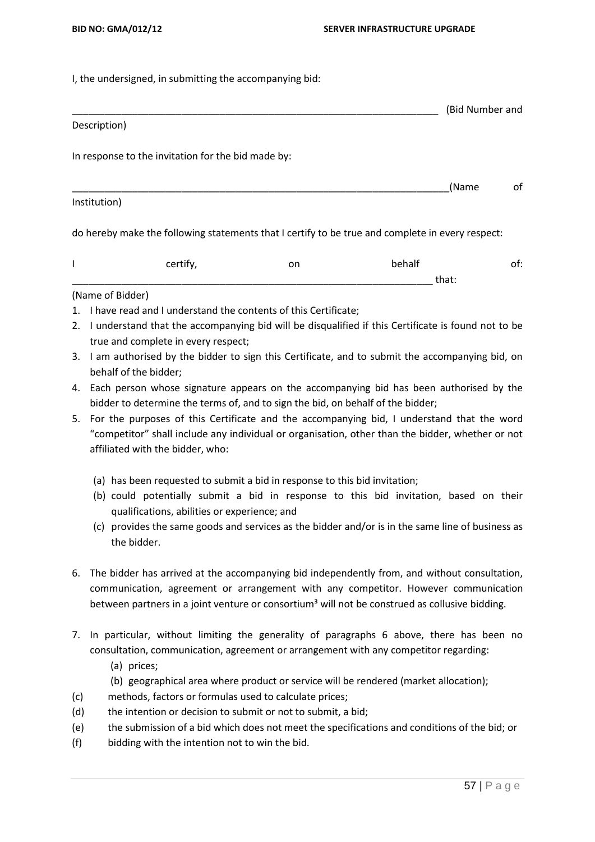I, the undersigned, in submitting the accompanying bid:

# \_\_\_\_\_\_\_\_\_\_\_\_\_\_\_\_\_\_\_\_\_\_\_\_\_\_\_\_\_\_\_\_\_\_\_\_\_\_\_\_\_\_\_\_\_\_\_\_\_\_\_\_\_\_\_\_\_\_\_\_\_\_\_\_\_\_\_ (Bid Number and

\_\_\_\_\_\_\_\_\_\_\_\_\_\_\_\_\_\_\_\_\_\_\_\_\_\_\_\_\_\_\_\_\_\_\_\_\_\_\_\_\_\_\_\_\_\_\_\_\_\_\_\_\_\_\_\_\_\_\_\_\_\_\_\_\_\_\_\_\_(Name of

#### Description)

In response to the invitation for the bid made by:

#### Institution)

do hereby make the following statements that I certify to be true and complete in every respect:

| ۵−<br> | .<br>on | . .<br>hahalt<br>١d١<br>___ |       | $ -$ |
|--------|---------|-----------------------------|-------|------|
|        |         |                             | uidi. |      |

#### (Name of Bidder)

- 1. I have read and I understand the contents of this Certificate;
- 2. I understand that the accompanying bid will be disqualified if this Certificate is found not to be true and complete in every respect;
- 3. I am authorised by the bidder to sign this Certificate, and to submit the accompanying bid, on behalf of the bidder;
- 4. Each person whose signature appears on the accompanying bid has been authorised by the bidder to determine the terms of, and to sign the bid, on behalf of the bidder;
- 5. For the purposes of this Certificate and the accompanying bid, I understand that the word "competitor" shall include any individual or organisation, other than the bidder, whether or not affiliated with the bidder, who:
	- (a) has been requested to submit a bid in response to this bid invitation;
	- (b) could potentially submit a bid in response to this bid invitation, based on their qualifications, abilities or experience; and
	- (c) provides the same goods and services as the bidder and/or is in the same line of business as the bidder.
- 6. The bidder has arrived at the accompanying bid independently from, and without consultation, communication, agreement or arrangement with any competitor. However communication between partners in a joint venture or consortium<sup>3</sup> will not be construed as collusive bidding.
- 7. In particular, without limiting the generality of paragraphs 6 above, there has been no consultation, communication, agreement or arrangement with any competitor regarding:
	- (a) prices;
	- (b) geographical area where product or service will be rendered (market allocation);
- (c) methods, factors or formulas used to calculate prices;
- (d) the intention or decision to submit or not to submit, a bid;
- (e) the submission of a bid which does not meet the specifications and conditions of the bid; or
- (f) bidding with the intention not to win the bid.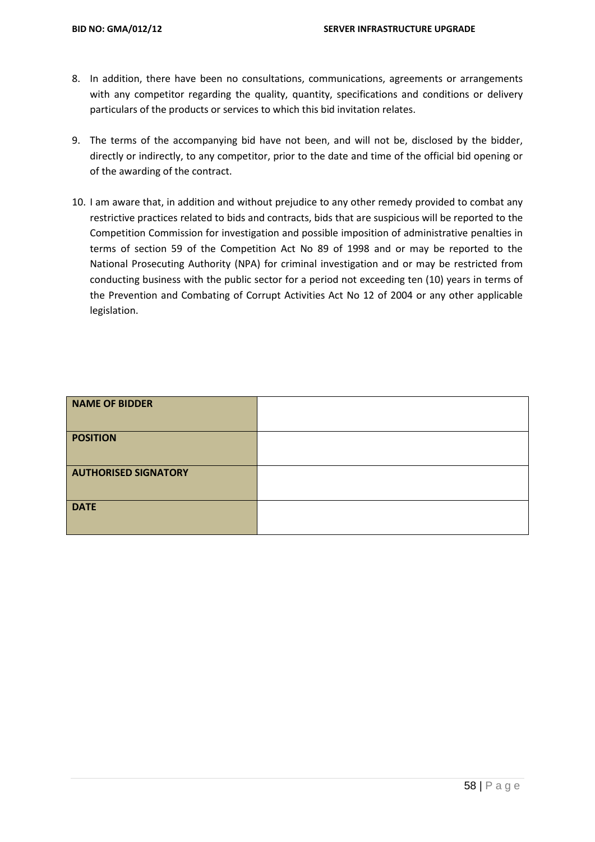- 8. In addition, there have been no consultations, communications, agreements or arrangements with any competitor regarding the quality, quantity, specifications and conditions or delivery particulars of the products or services to which this bid invitation relates.
- 9. The terms of the accompanying bid have not been, and will not be, disclosed by the bidder, directly or indirectly, to any competitor, prior to the date and time of the official bid opening or of the awarding of the contract.
- 10. I am aware that, in addition and without prejudice to any other remedy provided to combat any restrictive practices related to bids and contracts, bids that are suspicious will be reported to the Competition Commission for investigation and possible imposition of administrative penalties in terms of section 59 of the Competition Act No 89 of 1998 and or may be reported to the National Prosecuting Authority (NPA) for criminal investigation and or may be restricted from conducting business with the public sector for a period not exceeding ten (10) years in terms of the Prevention and Combating of Corrupt Activities Act No 12 of 2004 or any other applicable legislation.

| NAME OF BIDDER              |  |
|-----------------------------|--|
| <b>POSITION</b>             |  |
| <b>AUTHORISED SIGNATORY</b> |  |
| <b>DATE</b>                 |  |